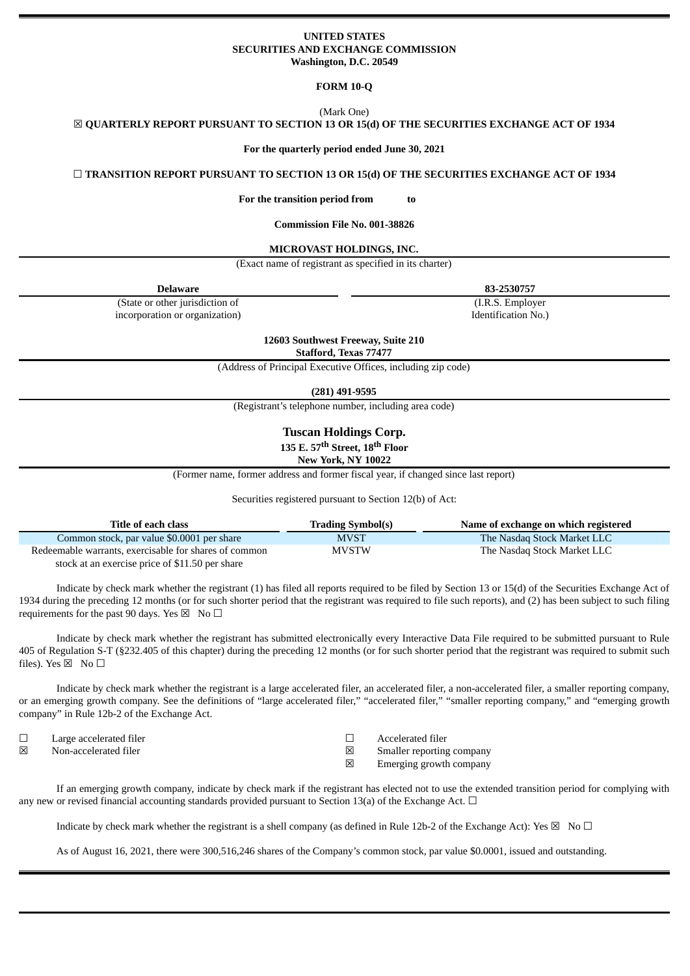## **UNITED STATES SECURITIES AND EXCHANGE COMMISSION Washington, D.C. 20549**

**FORM 10-Q**

(Mark One)

☒ **QUARTERLY REPORT PURSUANT TO SECTION 13 OR 15(d) OF THE SECURITIES EXCHANGE ACT OF 1934**

**For the quarterly period ended June 30, 2021**

☐ **TRANSITION REPORT PURSUANT TO SECTION 13 OR 15(d) OF THE SECURITIES EXCHANGE ACT OF 1934**

**For the transition period from to**

**Commission File No. 001-38826**

**MICROVAST HOLDINGS, INC.**

(Exact name of registrant as specified in its charter)

**Delaware 83-2530757** (State or other jurisdiction of incorporation or organization)

(I.R.S. Employer

Identification No.)

**12603 Southwest Freeway, Suite 210**

**Stafford, Texas 77477**

(Address of Principal Executive Offices, including zip code)

**(281) 491-9595**

(Registrant's telephone number, including area code)

**Tuscan Holdings Corp. 135 E. 57 th Street, 18 th Floor**

**New York, NY 10022**

(Former name, former address and former fiscal year, if changed since last report)

Securities registered pursuant to Section 12(b) of Act:

| Title of each class                                   | <b>Trading Symbol(s)</b> | Name of exchange on which registered |
|-------------------------------------------------------|--------------------------|--------------------------------------|
| Common stock, par value \$0.0001 per share            | <b>MVST</b>              | The Nasdag Stock Market LLC          |
| Redeemable warrants, exercisable for shares of common | <b>MVSTW</b>             | The Nasdag Stock Market LLC          |
| stock at an exercise price of \$11.50 per share       |                          |                                      |

Indicate by check mark whether the registrant (1) has filed all reports required to be filed by Section 13 or 15(d) of the Securities Exchange Act of 1934 during the preceding 12 months (or for such shorter period that the registrant was required to file such reports), and (2) has been subject to such filing requirements for the past 90 days. Yes  $\boxtimes$  No  $\Box$ 

Indicate by check mark whether the registrant has submitted electronically every Interactive Data File required to be submitted pursuant to Rule 405 of Regulation S-T (§232.405 of this chapter) during the preceding 12 months (or for such shorter period that the registrant was required to submit such files). Yes  $\boxtimes$  No  $\square$ 

Indicate by check mark whether the registrant is a large accelerated filer, an accelerated filer, a non-accelerated filer, a smaller reporting company, or an emerging growth company. See the definitions of "large accelerated filer," "accelerated filer," "smaller reporting company," and "emerging growth company" in Rule 12b-2 of the Exchange Act.

|   | Large accelerated filer | Accelerated filer         |
|---|-------------------------|---------------------------|
| ⊠ | Non-accelerated filer   | Smaller reporting company |
|   |                         | Emerging growth company   |

If an emerging growth company, indicate by check mark if the registrant has elected not to use the extended transition period for complying with any new or revised financial accounting standards provided pursuant to Section 13(a) of the Exchange Act.  $\Box$ 

Indicate by check mark whether the registrant is a shell company (as defined in Rule 12b-2 of the Exchange Act): Yes  $\boxtimes$  No  $\Box$ 

As of August 16, 2021, there were 300,516,246 shares of the Company's common stock, par value \$0.0001, issued and outstanding.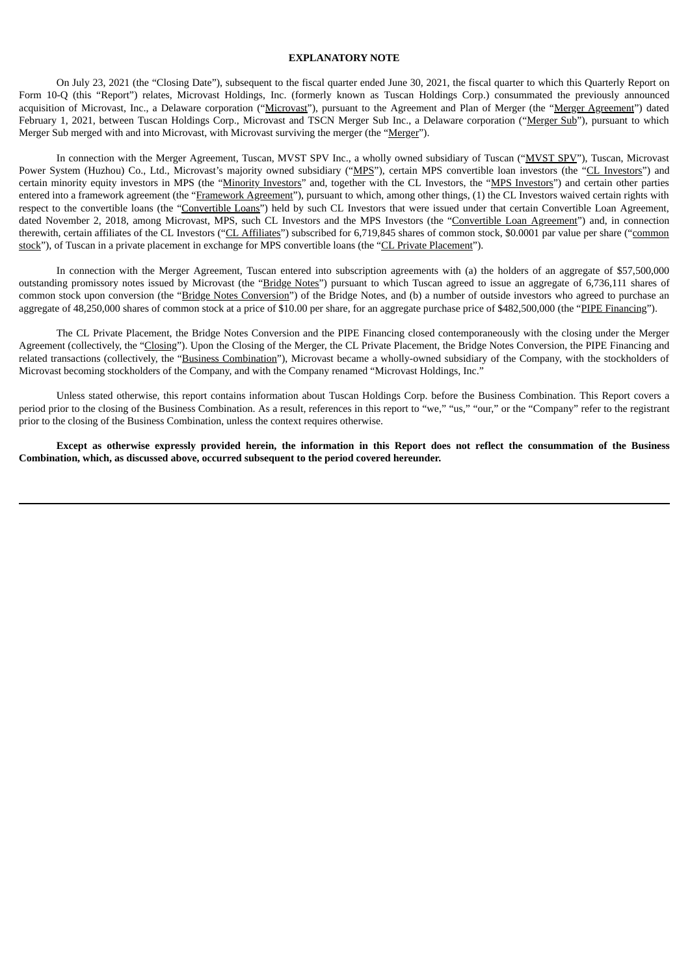#### **EXPLANATORY NOTE**

On July 23, 2021 (the "Closing Date"), subsequent to the fiscal quarter ended June 30, 2021, the fiscal quarter to which this Quarterly Report on Form 10-Q (this "Report") relates, Microvast Holdings, Inc. (formerly known as Tuscan Holdings Corp.) consummated the previously announced acquisition of Microvast, Inc., a Delaware corporation ("Microvast"), pursuant to the Agreement and Plan of Merger (the "Merger Agreement") dated February 1, 2021, between Tuscan Holdings Corp., Microvast and TSCN Merger Sub Inc., a Delaware corporation ("Merger Sub"), pursuant to which Merger Sub merged with and into Microvast, with Microvast surviving the merger (the "Merger").

In connection with the Merger Agreement, Tuscan, MVST SPV Inc., a wholly owned subsidiary of Tuscan ("MVST SPV"), Tuscan, Microvast Power System (Huzhou) Co., Ltd., Microvast's majority owned subsidiary ("MPS"), certain MPS convertible loan investors (the "CL Investors") and certain minority equity investors in MPS (the "Minority Investors" and, together with the CL Investors, the "MPS Investors") and certain other parties entered into a framework agreement (the "Framework Agreement"), pursuant to which, among other things, (1) the CL Investors waived certain rights with respect to the convertible loans (the "Convertible Loans") held by such CL Investors that were issued under that certain Convertible Loan Agreement, dated November 2, 2018, among Microvast, MPS, such CL Investors and the MPS Investors (the "Convertible Loan Agreement") and, in connection therewith, certain affiliates of the CL Investors ("CL Affiliates") subscribed for 6,719,845 shares of common stock, \$0.0001 par value per share ("common stock"), of Tuscan in a private placement in exchange for MPS convertible loans (the "CL Private Placement").

In connection with the Merger Agreement, Tuscan entered into subscription agreements with (a) the holders of an aggregate of \$57,500,000 outstanding promissory notes issued by Microvast (the "Bridge Notes") pursuant to which Tuscan agreed to issue an aggregate of 6,736,111 shares of common stock upon conversion (the "Bridge Notes Conversion") of the Bridge Notes, and (b) a number of outside investors who agreed to purchase an aggregate of 48,250,000 shares of common stock at a price of \$10.00 per share, for an aggregate purchase price of \$482,500,000 (the "PIPE Financing").

The CL Private Placement, the Bridge Notes Conversion and the PIPE Financing closed contemporaneously with the closing under the Merger Agreement (collectively, the "Closing"). Upon the Closing of the Merger, the CL Private Placement, the Bridge Notes Conversion, the PIPE Financing and related transactions (collectively, the "Business Combination"), Microvast became a wholly-owned subsidiary of the Company, with the stockholders of Microvast becoming stockholders of the Company, and with the Company renamed "Microvast Holdings, Inc."

Unless stated otherwise, this report contains information about Tuscan Holdings Corp. before the Business Combination. This Report covers a period prior to the closing of the Business Combination. As a result, references in this report to "we," "us," "our," or the "Company" refer to the registrant prior to the closing of the Business Combination, unless the context requires otherwise.

Except as otherwise expressly provided herein, the information in this Report does not reflect the consummation of the Business **Combination, which, as discussed above, occurred subsequent to the period covered hereunder.**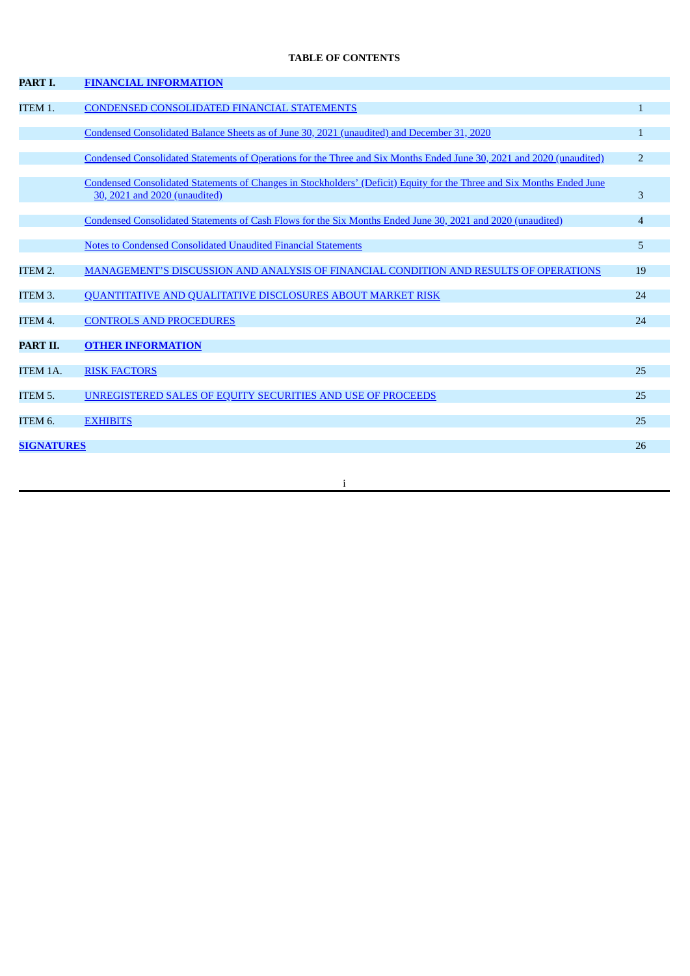# **TABLE OF CONTENTS**

| PART I.             | <b>FINANCIAL INFORMATION</b>                                                                                                                                   |                |
|---------------------|----------------------------------------------------------------------------------------------------------------------------------------------------------------|----------------|
| ITEM 1.             | CONDENSED CONSOLIDATED FINANCIAL STATEMENTS                                                                                                                    | $\mathbf{1}$   |
|                     | Condensed Consolidated Balance Sheets as of June 30, 2021 (unaudited) and December 31, 2020                                                                    | $\mathbf{1}$   |
|                     | Condensed Consolidated Statements of Operations for the Three and Six Months Ended June 30, 2021 and 2020 (unaudited)                                          | $\overline{2}$ |
|                     | <b>Condensed Consolidated Statements of Changes in Stockholders' (Deficit) Equity for the Three and Six Months Ended June</b><br>30, 2021 and 2020 (unaudited) | 3              |
|                     | Condensed Consolidated Statements of Cash Flows for the Six Months Ended June 30, 2021 and 2020 (unaudited)                                                    | $\overline{4}$ |
|                     | Notes to Condensed Consolidated Unaudited Financial Statements                                                                                                 | 5              |
| ITEM 2.             | MANAGEMENT'S DISCUSSION AND ANALYSIS OF FINANCIAL CONDITION AND RESULTS OF OPERATIONS                                                                          | 19             |
| ITEM <sub>3</sub> . | <b>OUANTITATIVE AND QUALITATIVE DISCLOSURES ABOUT MARKET RISK</b>                                                                                              | 24             |
| ITEM 4.             | <b>CONTROLS AND PROCEDURES</b>                                                                                                                                 | 24             |
| PART II.            | <b>OTHER INFORMATION</b>                                                                                                                                       |                |
| ITEM 1A.            | <b>RISK FACTORS</b>                                                                                                                                            | 25             |
| ITEM 5.             | UNREGISTERED SALES OF EQUITY SECURITIES AND USE OF PROCEEDS                                                                                                    | 25             |
| ITEM 6.             | <b>EXHIBITS</b>                                                                                                                                                | 25             |
| <b>SIGNATURES</b>   |                                                                                                                                                                | 26             |
|                     |                                                                                                                                                                |                |
|                     | i                                                                                                                                                              |                |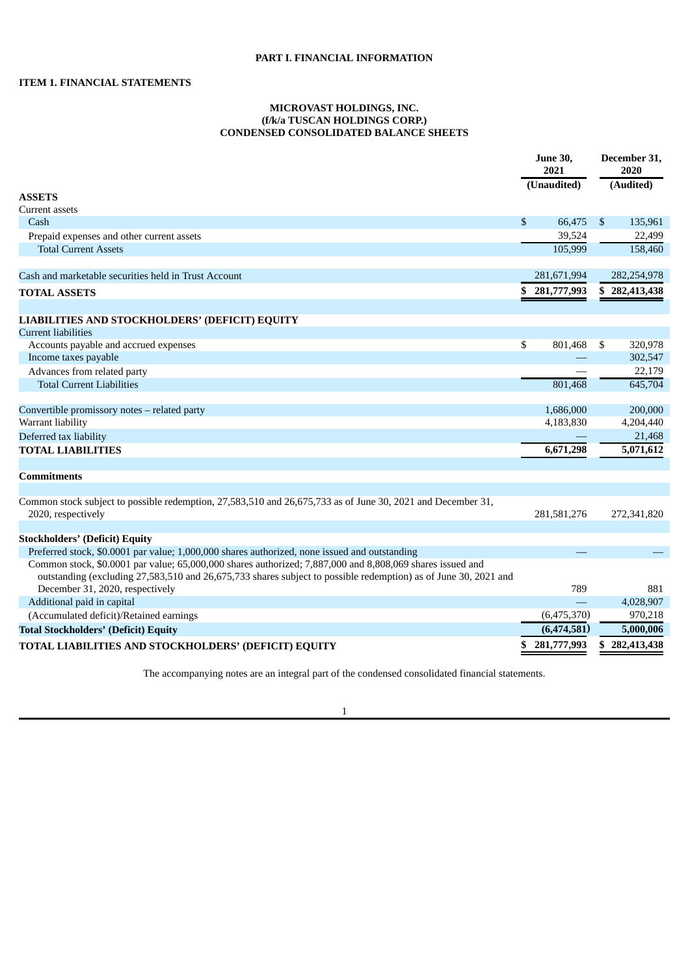# <span id="page-3-2"></span><span id="page-3-1"></span><span id="page-3-0"></span>**ITEM 1. FINANCIAL STATEMENTS**

# **MICROVAST HOLDINGS, INC. (f/k/a TUSCAN HOLDINGS CORP.) CONDENSED CONSOLIDATED BALANCE SHEETS**

|                                                                                                                                                                                                                              | <b>June 30,</b><br>2021 |                | December 31,<br>2020 |
|------------------------------------------------------------------------------------------------------------------------------------------------------------------------------------------------------------------------------|-------------------------|----------------|----------------------|
|                                                                                                                                                                                                                              | (Unaudited)             |                | (Audited)            |
| <b>ASSETS</b><br>Current assets                                                                                                                                                                                              |                         |                |                      |
| Cash                                                                                                                                                                                                                         | \$<br>66,475            | $\mathfrak{S}$ | 135,961              |
|                                                                                                                                                                                                                              | 39,524                  |                | 22,499               |
| Prepaid expenses and other current assets<br><b>Total Current Assets</b>                                                                                                                                                     | 105,999                 |                | 158,460              |
|                                                                                                                                                                                                                              |                         |                |                      |
| Cash and marketable securities held in Trust Account                                                                                                                                                                         | 281,671,994             |                | 282,254,978          |
| <b>TOTAL ASSETS</b>                                                                                                                                                                                                          | \$281,777,993           |                | \$282,413,438        |
| LIABILITIES AND STOCKHOLDERS' (DEFICIT) EQUITY                                                                                                                                                                               |                         |                |                      |
| <b>Current liabilities</b>                                                                                                                                                                                                   |                         |                |                      |
| Accounts payable and accrued expenses                                                                                                                                                                                        | \$<br>801,468           | \$             | 320,978              |
| Income taxes payable                                                                                                                                                                                                         |                         |                | 302,547              |
| Advances from related party                                                                                                                                                                                                  |                         |                | 22,179               |
| <b>Total Current Liabilities</b>                                                                                                                                                                                             | 801.468                 |                | 645,704              |
| Convertible promissory notes - related party                                                                                                                                                                                 | 1,686,000               |                | 200,000              |
| Warrant liability                                                                                                                                                                                                            | 4,183,830               |                | 4,204,440            |
| Deferred tax liability                                                                                                                                                                                                       |                         |                | 21,468               |
| <b>TOTAL LIABILITIES</b>                                                                                                                                                                                                     | 6,671,298               |                | 5,071,612            |
| <b>Commitments</b>                                                                                                                                                                                                           |                         |                |                      |
|                                                                                                                                                                                                                              |                         |                |                      |
| Common stock subject to possible redemption, 27,583,510 and 26,675,733 as of June 30, 2021 and December 31,<br>2020, respectively                                                                                            | 281,581,276             |                | 272,341,820          |
|                                                                                                                                                                                                                              |                         |                |                      |
| <b>Stockholders' (Deficit) Equity</b>                                                                                                                                                                                        |                         |                |                      |
| Preferred stock, \$0.0001 par value; 1,000,000 shares authorized, none issued and outstanding                                                                                                                                |                         |                |                      |
| Common stock, \$0.0001 par value; 65,000,000 shares authorized; 7,887,000 and 8,808,069 shares issued and<br>outstanding (excluding 27,583,510 and 26,675,733 shares subject to possible redemption) as of June 30, 2021 and |                         |                |                      |
| December 31, 2020, respectively                                                                                                                                                                                              | 789                     |                | 881                  |
| Additional paid in capital                                                                                                                                                                                                   |                         |                | 4,028,907            |
| (Accumulated deficit)/Retained earnings                                                                                                                                                                                      | (6,475,370)             |                | 970,218              |
| <b>Total Stockholders' (Deficit) Equity</b>                                                                                                                                                                                  | (6,474,581)             |                | 5,000,006            |
| TOTAL LIABILITIES AND STOCKHOLDERS' (DEFICIT) EQUITY                                                                                                                                                                         | 281,777,993             | S.             | 282,413,438          |

The accompanying notes are an integral part of the condensed consolidated financial statements.

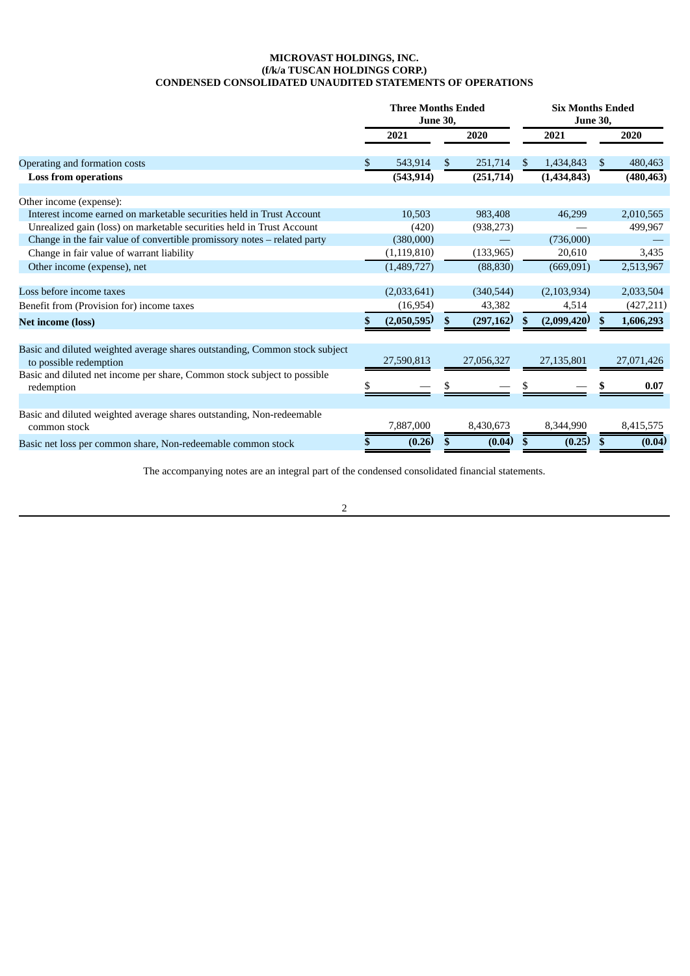# **MICROVAST HOLDINGS, INC. (f/k/a TUSCAN HOLDINGS CORP.) CONDENSED CONSOLIDATED UNAUDITED STATEMENTS OF OPERATIONS**

<span id="page-4-0"></span>

|                                                                                       | <b>Three Months Ended</b><br><b>June 30,</b> |              |            | <b>Six Months Ended</b><br><b>June 30,</b> |             |     |            |  |
|---------------------------------------------------------------------------------------|----------------------------------------------|--------------|------------|--------------------------------------------|-------------|-----|------------|--|
|                                                                                       | 2021                                         |              | 2020       |                                            | 2021        |     | 2020       |  |
| Operating and formation costs                                                         | \$<br>543,914                                | $\mathbf{s}$ | 251,714    | \$                                         | 1,434,843   | \$. | 480,463    |  |
| <b>Loss from operations</b>                                                           | (543, 914)                                   |              | (251,714)  |                                            | (1,434,843) |     | (480, 463) |  |
| Other income (expense):                                                               |                                              |              |            |                                            |             |     |            |  |
| Interest income earned on marketable securities held in Trust Account                 | 10,503                                       |              | 983,408    |                                            | 46,299      |     | 2,010,565  |  |
| Unrealized gain (loss) on marketable securities held in Trust Account                 | (420)                                        |              | (938, 273) |                                            |             |     | 499,967    |  |
| Change in the fair value of convertible promissory notes - related party              | (380,000)                                    |              |            |                                            | (736,000)   |     |            |  |
| Change in fair value of warrant liability                                             | (1, 119, 810)                                |              | (133, 965) |                                            | 20,610      |     | 3,435      |  |
| Other income (expense), net                                                           | (1,489,727)                                  |              | (88, 830)  |                                            | (669,091)   |     | 2,513,967  |  |
| Loss before income taxes                                                              | (2,033,641)                                  |              | (340, 544) |                                            | (2,103,934) |     | 2,033,504  |  |
| Benefit from (Provision for) income taxes                                             | (16, 954)                                    |              | 43,382     |                                            | 4,514       |     | (427, 211) |  |
| <b>Net income (loss)</b>                                                              | (2,050,595)                                  |              | (297, 162) | \$.                                        | (2,099,420) | S.  | 1,606,293  |  |
| Basic and diluted weighted average shares outstanding, Common stock subject           |                                              |              |            |                                            |             |     |            |  |
| to possible redemption                                                                | 27,590,813                                   |              | 27,056,327 |                                            | 27,135,801  |     | 27,071,426 |  |
| Basic and diluted net income per share, Common stock subject to possible              |                                              |              |            |                                            |             |     |            |  |
| redemption                                                                            |                                              |              |            |                                            |             |     | 0.07       |  |
| Basic and diluted weighted average shares outstanding, Non-redeemable<br>common stock | 7,887,000                                    |              | 8,430,673  |                                            | 8,344,990   |     | 8,415,575  |  |
| Basic net loss per common share, Non-redeemable common stock                          | (0.26)                                       |              | (0.04)     |                                            | (0.25)      | \$  | (0.04)     |  |

The accompanying notes are an integral part of the condensed consolidated financial statements.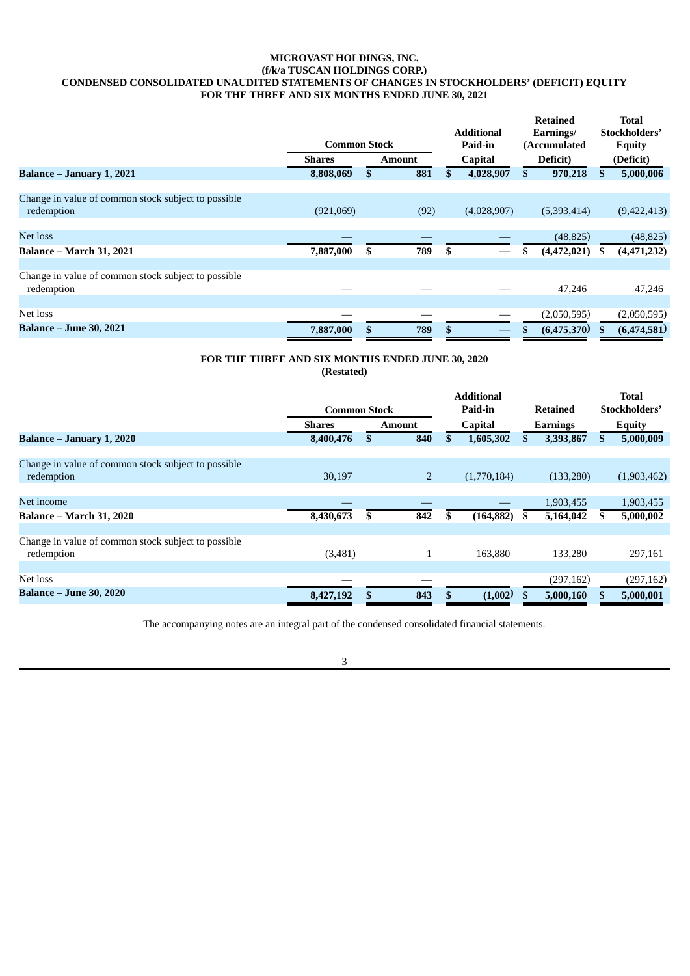# <span id="page-5-0"></span>**MICROVAST HOLDINGS, INC. (f/k/a TUSCAN HOLDINGS CORP.) CONDENSED CONSOLIDATED UNAUDITED STATEMENTS OF CHANGES IN STOCKHOLDERS' (DEFICIT) EQUITY FOR THE THREE AND SIX MONTHS ENDED JUNE 30, 2021**

|                                                     |                     |   |               |   | <b>Additional</b> | <b>Retained</b><br>Earnings/ |    | <b>Total</b><br>Stockholders' |
|-----------------------------------------------------|---------------------|---|---------------|---|-------------------|------------------------------|----|-------------------------------|
|                                                     | <b>Common Stock</b> |   |               |   | Paid-in           | (Accumulated                 |    | <b>Equity</b>                 |
|                                                     | <b>Shares</b>       |   | <b>Amount</b> |   | <b>Capital</b>    | Deficit)                     |    | (Deficit)                     |
| Balance – January 1, 2021                           | 8,808,069           | S | 881           |   | 4,028,907         | \$<br>970,218                | S. | 5,000,006                     |
| Change in value of common stock subject to possible |                     |   |               |   |                   |                              |    |                               |
| redemption                                          | (921,069)           |   | (92)          |   | (4,028,907)       | (5,393,414)                  |    | (9,422,413)                   |
|                                                     |                     |   |               |   |                   |                              |    |                               |
| <b>Net loss</b>                                     |                     |   |               |   |                   | (48, 825)                    |    | (48, 825)                     |
| <b>Balance - March 31, 2021</b>                     | 7,887,000           | S | 789           | S |                   | \$<br>(4,472,021)            | S  | (4,471,232)                   |
| Change in value of common stock subject to possible |                     |   |               |   |                   |                              |    |                               |
| redemption                                          |                     |   |               |   |                   | 47,246                       |    | 47,246                        |
| Net loss                                            |                     |   |               |   |                   | (2,050,595)                  |    | (2,050,595)                   |
| <b>Balance – June 30, 2021</b>                      | 7,887,000           |   | 789           |   |                   | (6, 475, 370)                |    | (6,474,581)                   |

# **FOR THE THREE AND SIX MONTHS ENDED JUNE 30, 2020 (Restated)**

|                                                     | <b>Common Stock</b> |   |                | <b>Additional</b><br>Paid-in |   | Retained        | <b>Total</b><br>Stockholders' |
|-----------------------------------------------------|---------------------|---|----------------|------------------------------|---|-----------------|-------------------------------|
|                                                     | <b>Shares</b>       |   | <b>Amount</b>  | <b>Capital</b>               |   | <b>Earnings</b> | <b>Equity</b>                 |
| Balance – January 1, 2020                           | 8,400,476           |   | 840            | 1,605,302                    |   | 3,393,867       | 5,000,009                     |
|                                                     |                     |   |                |                              |   |                 |                               |
| Change in value of common stock subject to possible |                     |   |                |                              |   |                 |                               |
| redemption                                          | 30,197              |   | $\overline{2}$ | (1,770,184)                  |   | (133, 280)      | (1,903,462)                   |
|                                                     |                     |   |                |                              |   |                 |                               |
| Net income                                          |                     |   |                |                              |   | 1,903,455       | 1,903,455                     |
| <b>Balance – March 31, 2020</b>                     | 8,430,673           | S | 842            | \$<br>(164, 882)             | S | 5,164,042       | 5,000,002                     |
|                                                     |                     |   |                |                              |   |                 |                               |
| Change in value of common stock subject to possible |                     |   |                |                              |   |                 |                               |
| redemption                                          | (3,481)             |   | $\mathbf{1}$   | 163,880                      |   | 133,280         | 297,161                       |
|                                                     |                     |   |                |                              |   |                 |                               |
| Net loss                                            |                     |   |                |                              |   | (297, 162)      | (297, 162)                    |
| <b>Balance – June 30, 2020</b>                      | 8,427,192           |   | 843            | (1,002)                      |   | 5,000,160       | 5,000,001                     |

The accompanying notes are an integral part of the condensed consolidated financial statements.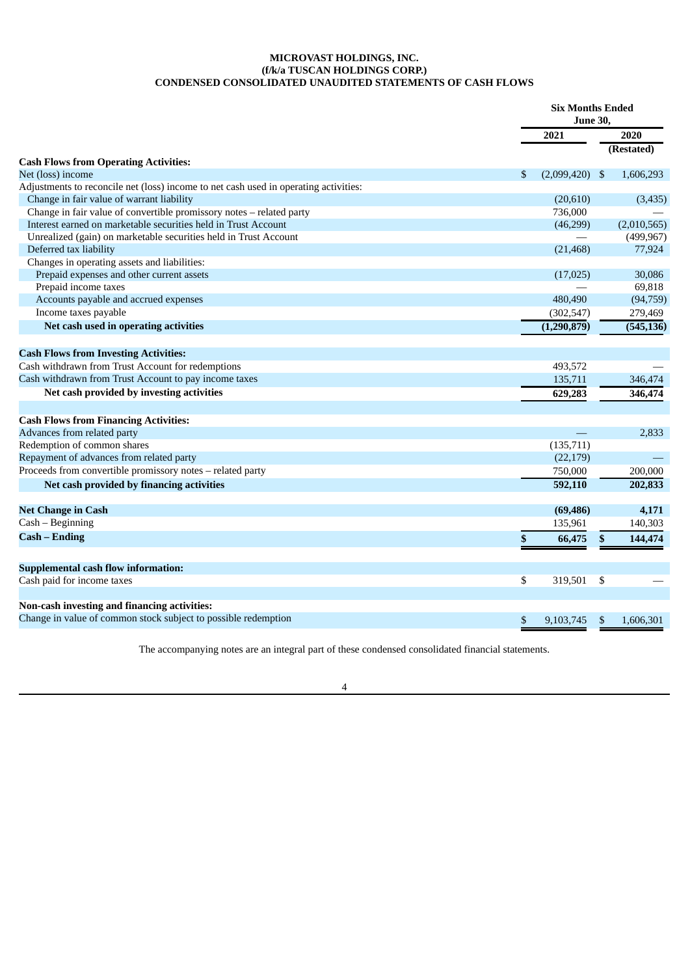# **MICROVAST HOLDINGS, INC. (f/k/a TUSCAN HOLDINGS CORP.) CONDENSED CONSOLIDATED UNAUDITED STATEMENTS OF CASH FLOWS**

<span id="page-6-0"></span>

|                                                                                      |                    | <b>Six Months Ended</b><br><b>June 30,</b> |             |  |  |
|--------------------------------------------------------------------------------------|--------------------|--------------------------------------------|-------------|--|--|
|                                                                                      | 2021               |                                            | 2020        |  |  |
|                                                                                      |                    |                                            | (Restated)  |  |  |
| <b>Cash Flows from Operating Activities:</b>                                         |                    |                                            |             |  |  |
| Net (loss) income                                                                    | (2,099,420)<br>\$. | -\$                                        | 1,606,293   |  |  |
| Adjustments to reconcile net (loss) income to net cash used in operating activities: |                    |                                            |             |  |  |
| Change in fair value of warrant liability                                            | (20,610)           |                                            | (3, 435)    |  |  |
| Change in fair value of convertible promissory notes - related party                 | 736,000            |                                            |             |  |  |
| Interest earned on marketable securities held in Trust Account                       | (46,299)           |                                            | (2,010,565) |  |  |
| Unrealized (gain) on marketable securities held in Trust Account                     |                    |                                            | (499, 967)  |  |  |
| Deferred tax liability                                                               | (21, 468)          |                                            | 77,924      |  |  |
| Changes in operating assets and liabilities:                                         |                    |                                            |             |  |  |
| Prepaid expenses and other current assets                                            | (17, 025)          |                                            | 30,086      |  |  |
| Prepaid income taxes                                                                 |                    |                                            | 69,818      |  |  |
| Accounts payable and accrued expenses                                                | 480,490            |                                            | (94, 759)   |  |  |
| Income taxes payable                                                                 | (302, 547)         |                                            | 279,469     |  |  |
| Net cash used in operating activities                                                | (1,290,879)        |                                            | (545, 136)  |  |  |
| <b>Cash Flows from Investing Activities:</b>                                         |                    |                                            |             |  |  |
| Cash withdrawn from Trust Account for redemptions                                    | 493,572            |                                            |             |  |  |
| Cash withdrawn from Trust Account to pay income taxes                                | 135,711            |                                            | 346,474     |  |  |
| Net cash provided by investing activities                                            | 629,283            |                                            | 346,474     |  |  |
|                                                                                      |                    |                                            |             |  |  |
| <b>Cash Flows from Financing Activities:</b>                                         |                    |                                            |             |  |  |
| Advances from related party                                                          |                    |                                            | 2.833       |  |  |
| Redemption of common shares                                                          | (135, 711)         |                                            |             |  |  |
| Repayment of advances from related party                                             | (22, 179)          |                                            |             |  |  |
| Proceeds from convertible promissory notes - related party                           | 750,000            |                                            | 200,000     |  |  |
| Net cash provided by financing activities                                            | 592,110            |                                            | 202,833     |  |  |
| <b>Net Change in Cash</b>                                                            | (69, 486)          |                                            | 4,171       |  |  |
| Cash - Beginning                                                                     | 135,961            |                                            | 140,303     |  |  |
| <b>Cash – Ending</b>                                                                 |                    |                                            |             |  |  |
|                                                                                      | \$<br>66,475       | \$                                         | 144,474     |  |  |
| <b>Supplemental cash flow information:</b>                                           |                    |                                            |             |  |  |
| Cash paid for income taxes                                                           | \$<br>319,501      | \$                                         |             |  |  |
| Non-cash investing and financing activities:                                         |                    |                                            |             |  |  |
| Change in value of common stock subject to possible redemption                       | \$<br>9,103,745    | \$                                         | 1,606,301   |  |  |
|                                                                                      |                    |                                            |             |  |  |

The accompanying notes are an integral part of these condensed consolidated financial statements.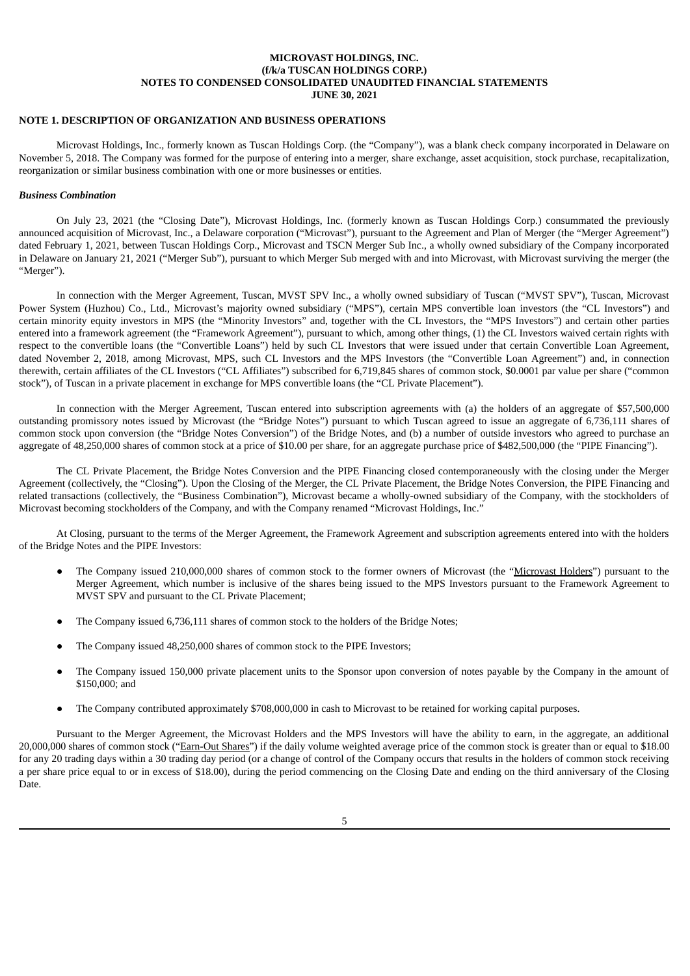# <span id="page-7-0"></span>**NOTE 1. DESCRIPTION OF ORGANIZATION AND BUSINESS OPERATIONS**

Microvast Holdings, Inc., formerly known as Tuscan Holdings Corp. (the "Company"), was a blank check company incorporated in Delaware on November 5, 2018. The Company was formed for the purpose of entering into a merger, share exchange, asset acquisition, stock purchase, recapitalization, reorganization or similar business combination with one or more businesses or entities.

#### *Business Combination*

On July 23, 2021 (the "Closing Date"), Microvast Holdings, Inc. (formerly known as Tuscan Holdings Corp.) consummated the previously announced acquisition of Microvast, Inc., a Delaware corporation ("Microvast"), pursuant to the Agreement and Plan of Merger (the "Merger Agreement") dated February 1, 2021, between Tuscan Holdings Corp., Microvast and TSCN Merger Sub Inc., a wholly owned subsidiary of the Company incorporated in Delaware on January 21, 2021 ("Merger Sub"), pursuant to which Merger Sub merged with and into Microvast, with Microvast surviving the merger (the "Merger").

In connection with the Merger Agreement, Tuscan, MVST SPV Inc., a wholly owned subsidiary of Tuscan ("MVST SPV"), Tuscan, Microvast Power System (Huzhou) Co., Ltd., Microvast's majority owned subsidiary ("MPS"), certain MPS convertible loan investors (the "CL Investors") and certain minority equity investors in MPS (the "Minority Investors" and, together with the CL Investors, the "MPS Investors") and certain other parties entered into a framework agreement (the "Framework Agreement"), pursuant to which, among other things, (1) the CL Investors waived certain rights with respect to the convertible loans (the "Convertible Loans") held by such CL Investors that were issued under that certain Convertible Loan Agreement, dated November 2, 2018, among Microvast, MPS, such CL Investors and the MPS Investors (the "Convertible Loan Agreement") and, in connection therewith, certain affiliates of the CL Investors ("CL Affiliates") subscribed for 6,719,845 shares of common stock, \$0.0001 par value per share ("common stock"), of Tuscan in a private placement in exchange for MPS convertible loans (the "CL Private Placement").

In connection with the Merger Agreement, Tuscan entered into subscription agreements with (a) the holders of an aggregate of \$57,500,000 outstanding promissory notes issued by Microvast (the "Bridge Notes") pursuant to which Tuscan agreed to issue an aggregate of 6,736,111 shares of common stock upon conversion (the "Bridge Notes Conversion") of the Bridge Notes, and (b) a number of outside investors who agreed to purchase an aggregate of 48,250,000 shares of common stock at a price of \$10.00 per share, for an aggregate purchase price of \$482,500,000 (the "PIPE Financing").

The CL Private Placement, the Bridge Notes Conversion and the PIPE Financing closed contemporaneously with the closing under the Merger Agreement (collectively, the "Closing"). Upon the Closing of the Merger, the CL Private Placement, the Bridge Notes Conversion, the PIPE Financing and related transactions (collectively, the "Business Combination"), Microvast became a wholly-owned subsidiary of the Company, with the stockholders of Microvast becoming stockholders of the Company, and with the Company renamed "Microvast Holdings, Inc."

At Closing, pursuant to the terms of the Merger Agreement, the Framework Agreement and subscription agreements entered into with the holders of the Bridge Notes and the PIPE Investors:

- The Company issued 210,000,000 shares of common stock to the former owners of Microvast (the "Microvast Holders") pursuant to the Merger Agreement, which number is inclusive of the shares being issued to the MPS Investors pursuant to the Framework Agreement to MVST SPV and pursuant to the CL Private Placement;
- The Company issued 6,736,111 shares of common stock to the holders of the Bridge Notes;
- The Company issued 48,250,000 shares of common stock to the PIPE Investors;
- The Company issued 150,000 private placement units to the Sponsor upon conversion of notes payable by the Company in the amount of \$150,000; and
- The Company contributed approximately \$708,000,000 in cash to Microvast to be retained for working capital purposes.

Pursuant to the Merger Agreement, the Microvast Holders and the MPS Investors will have the ability to earn, in the aggregate, an additional 20,000,000 shares of common stock ("Earn-Out Shares") if the daily volume weighted average price of the common stock is greater than or equal to \$18.00 for any 20 trading days within a 30 trading day period (or a change of control of the Company occurs that results in the holders of common stock receiving a per share price equal to or in excess of \$18.00), during the period commencing on the Closing Date and ending on the third anniversary of the Closing Date.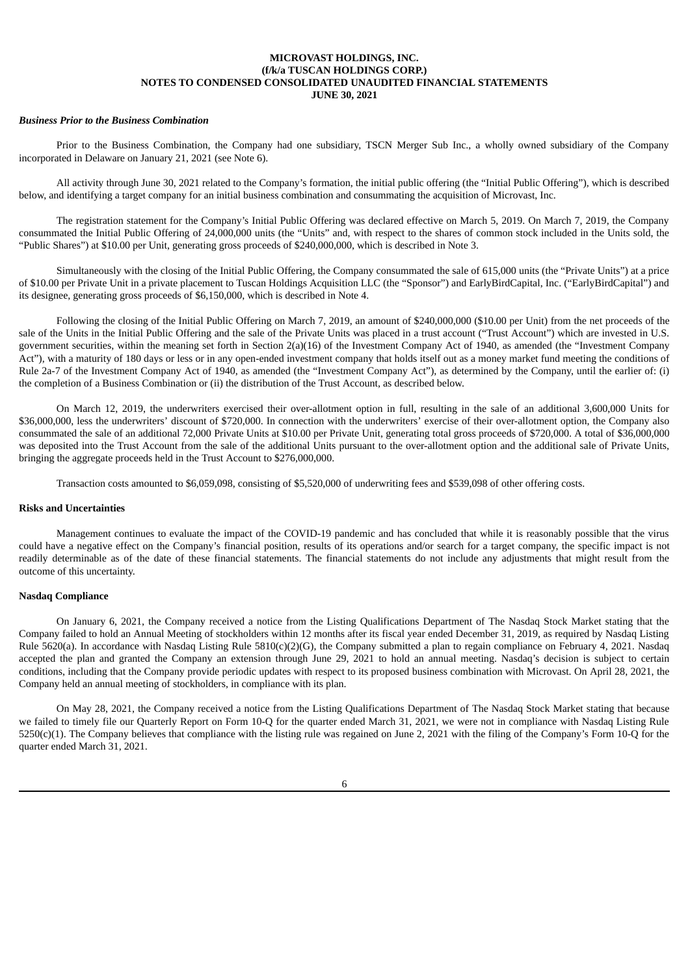# *Business Prior to the Business Combination*

Prior to the Business Combination, the Company had one subsidiary, TSCN Merger Sub Inc., a wholly owned subsidiary of the Company incorporated in Delaware on January 21, 2021 (see Note 6).

All activity through June 30, 2021 related to the Company's formation, the initial public offering (the "Initial Public Offering"), which is described below, and identifying a target company for an initial business combination and consummating the acquisition of Microvast, Inc.

The registration statement for the Company's Initial Public Offering was declared effective on March 5, 2019. On March 7, 2019, the Company consummated the Initial Public Offering of 24,000,000 units (the "Units" and, with respect to the shares of common stock included in the Units sold, the "Public Shares") at \$10.00 per Unit, generating gross proceeds of \$240,000,000, which is described in Note 3.

Simultaneously with the closing of the Initial Public Offering, the Company consummated the sale of 615,000 units (the "Private Units") at a price of \$10.00 per Private Unit in a private placement to Tuscan Holdings Acquisition LLC (the "Sponsor") and EarlyBirdCapital, Inc. ("EarlyBirdCapital") and its designee, generating gross proceeds of \$6,150,000, which is described in Note 4.

Following the closing of the Initial Public Offering on March 7, 2019, an amount of \$240,000,000 (\$10.00 per Unit) from the net proceeds of the sale of the Units in the Initial Public Offering and the sale of the Private Units was placed in a trust account ("Trust Account") which are invested in U.S. government securities, within the meaning set forth in Section 2(a)(16) of the Investment Company Act of 1940, as amended (the "Investment Company Act"), with a maturity of 180 days or less or in any open-ended investment company that holds itself out as a money market fund meeting the conditions of Rule 2a-7 of the Investment Company Act of 1940, as amended (the "Investment Company Act"), as determined by the Company, until the earlier of: (i) the completion of a Business Combination or (ii) the distribution of the Trust Account, as described below.

On March 12, 2019, the underwriters exercised their over-allotment option in full, resulting in the sale of an additional 3,600,000 Units for \$36,000,000, less the underwriters' discount of \$720,000. In connection with the underwriters' exercise of their over-allotment option, the Company also consummated the sale of an additional 72,000 Private Units at \$10.00 per Private Unit, generating total gross proceeds of \$720,000. A total of \$36,000,000 was deposited into the Trust Account from the sale of the additional Units pursuant to the over-allotment option and the additional sale of Private Units, bringing the aggregate proceeds held in the Trust Account to \$276,000,000.

Transaction costs amounted to \$6,059,098, consisting of \$5,520,000 of underwriting fees and \$539,098 of other offering costs.

### **Risks and Uncertainties**

Management continues to evaluate the impact of the COVID-19 pandemic and has concluded that while it is reasonably possible that the virus could have a negative effect on the Company's financial position, results of its operations and/or search for a target company, the specific impact is not readily determinable as of the date of these financial statements. The financial statements do not include any adjustments that might result from the outcome of this uncertainty.

## **Nasdaq Compliance**

On January 6, 2021, the Company received a notice from the Listing Qualifications Department of The Nasdaq Stock Market stating that the Company failed to hold an Annual Meeting of stockholders within 12 months after its fiscal year ended December 31, 2019, as required by Nasdaq Listing Rule 5620(a). In accordance with Nasdaq Listing Rule 5810(c)(2)(G), the Company submitted a plan to regain compliance on February 4, 2021. Nasdaq accepted the plan and granted the Company an extension through June 29, 2021 to hold an annual meeting. Nasdaq's decision is subject to certain conditions, including that the Company provide periodic updates with respect to its proposed business combination with Microvast. On April 28, 2021, the Company held an annual meeting of stockholders, in compliance with its plan.

On May 28, 2021, the Company received a notice from the Listing Qualifications Department of The Nasdaq Stock Market stating that because we failed to timely file our Quarterly Report on Form 10-Q for the quarter ended March 31, 2021, we were not in compliance with Nasdaq Listing Rule 5250(c)(1). The Company believes that compliance with the listing rule was regained on June 2, 2021 with the filing of the Company's Form 10-Q for the quarter ended March 31, 2021.

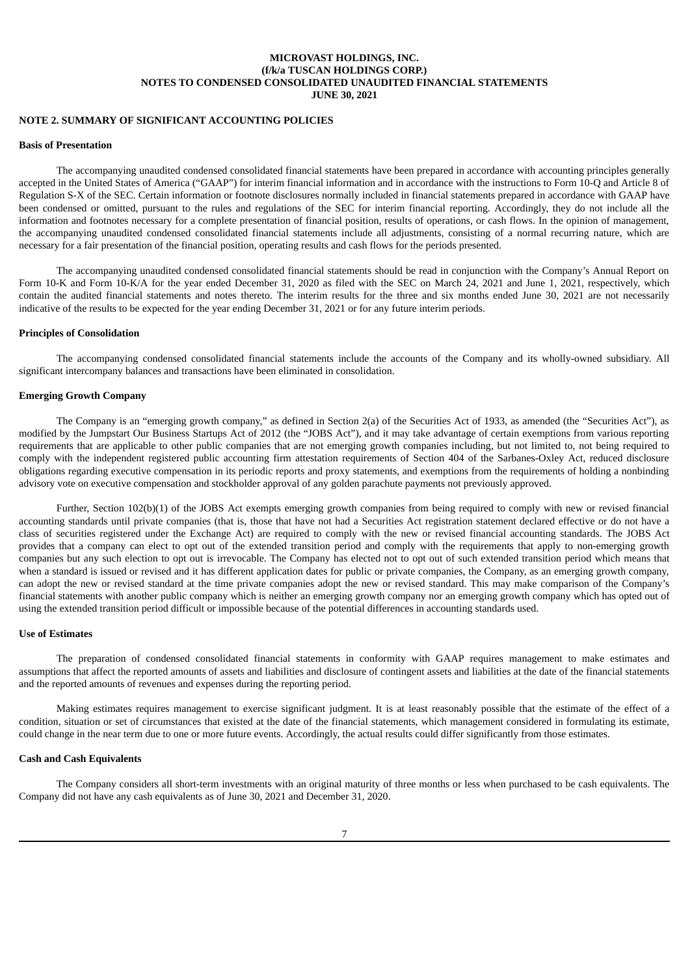# **NOTE 2. SUMMARY OF SIGNIFICANT ACCOUNTING POLICIES**

#### **Basis of Presentation**

The accompanying unaudited condensed consolidated financial statements have been prepared in accordance with accounting principles generally accepted in the United States of America ("GAAP") for interim financial information and in accordance with the instructions to Form 10-Q and Article 8 of Regulation S-X of the SEC. Certain information or footnote disclosures normally included in financial statements prepared in accordance with GAAP have been condensed or omitted, pursuant to the rules and regulations of the SEC for interim financial reporting. Accordingly, they do not include all the information and footnotes necessary for a complete presentation of financial position, results of operations, or cash flows. In the opinion of management, the accompanying unaudited condensed consolidated financial statements include all adjustments, consisting of a normal recurring nature, which are necessary for a fair presentation of the financial position, operating results and cash flows for the periods presented.

The accompanying unaudited condensed consolidated financial statements should be read in conjunction with the Company's Annual Report on Form 10-K and Form 10-K/A for the year ended December 31, 2020 as filed with the SEC on March 24, 2021 and June 1, 2021, respectively, which contain the audited financial statements and notes thereto. The interim results for the three and six months ended June 30, 2021 are not necessarily indicative of the results to be expected for the year ending December 31, 2021 or for any future interim periods.

#### **Principles of Consolidation**

The accompanying condensed consolidated financial statements include the accounts of the Company and its wholly-owned subsidiary. All significant intercompany balances and transactions have been eliminated in consolidation.

#### **Emerging Growth Company**

The Company is an "emerging growth company," as defined in Section 2(a) of the Securities Act of 1933, as amended (the "Securities Act"), as modified by the Jumpstart Our Business Startups Act of 2012 (the "JOBS Act"), and it may take advantage of certain exemptions from various reporting requirements that are applicable to other public companies that are not emerging growth companies including, but not limited to, not being required to comply with the independent registered public accounting firm attestation requirements of Section 404 of the Sarbanes-Oxley Act, reduced disclosure obligations regarding executive compensation in its periodic reports and proxy statements, and exemptions from the requirements of holding a nonbinding advisory vote on executive compensation and stockholder approval of any golden parachute payments not previously approved.

Further, Section 102(b)(1) of the JOBS Act exempts emerging growth companies from being required to comply with new or revised financial accounting standards until private companies (that is, those that have not had a Securities Act registration statement declared effective or do not have a class of securities registered under the Exchange Act) are required to comply with the new or revised financial accounting standards. The JOBS Act provides that a company can elect to opt out of the extended transition period and comply with the requirements that apply to non-emerging growth companies but any such election to opt out is irrevocable. The Company has elected not to opt out of such extended transition period which means that when a standard is issued or revised and it has different application dates for public or private companies, the Company, as an emerging growth company, can adopt the new or revised standard at the time private companies adopt the new or revised standard. This may make comparison of the Company's financial statements with another public company which is neither an emerging growth company nor an emerging growth company which has opted out of using the extended transition period difficult or impossible because of the potential differences in accounting standards used.

## **Use of Estimates**

The preparation of condensed consolidated financial statements in conformity with GAAP requires management to make estimates and assumptions that affect the reported amounts of assets and liabilities and disclosure of contingent assets and liabilities at the date of the financial statements and the reported amounts of revenues and expenses during the reporting period.

Making estimates requires management to exercise significant judgment. It is at least reasonably possible that the estimate of the effect of a condition, situation or set of circumstances that existed at the date of the financial statements, which management considered in formulating its estimate, could change in the near term due to one or more future events. Accordingly, the actual results could differ significantly from those estimates.

## **Cash and Cash Equivalents**

The Company considers all short-term investments with an original maturity of three months or less when purchased to be cash equivalents. The Company did not have any cash equivalents as of June 30, 2021 and December 31, 2020.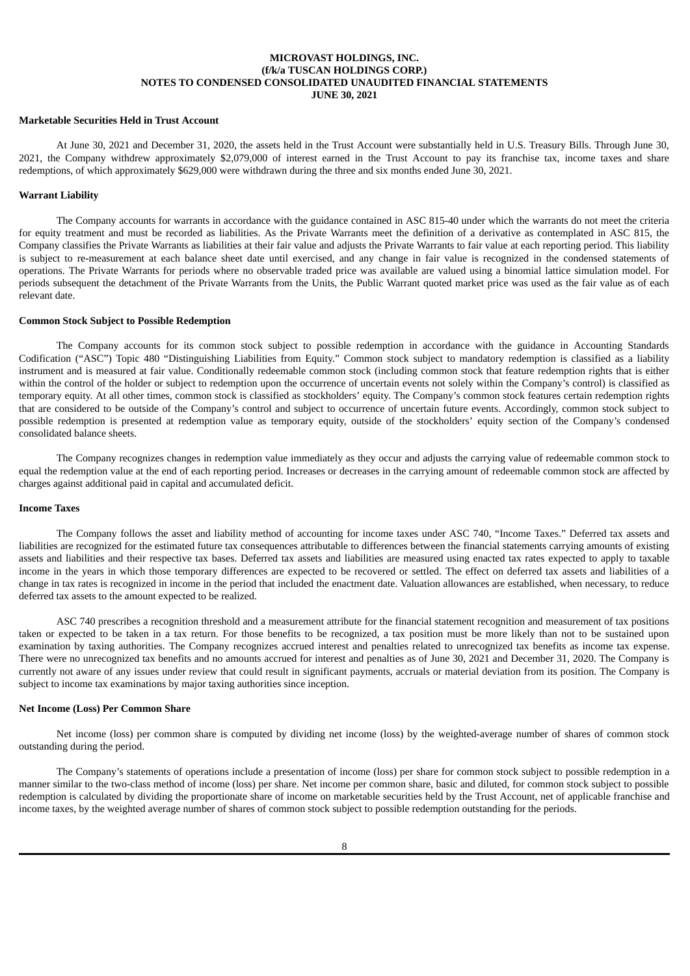# **Marketable Securities Held in Trust Account**

At June 30, 2021 and December 31, 2020, the assets held in the Trust Account were substantially held in U.S. Treasury Bills. Through June 30, 2021, the Company withdrew approximately \$2,079,000 of interest earned in the Trust Account to pay its franchise tax, income taxes and share redemptions, of which approximately \$629,000 were withdrawn during the three and six months ended June 30, 2021.

## **Warrant Liability**

The Company accounts for warrants in accordance with the guidance contained in ASC 815-40 under which the warrants do not meet the criteria for equity treatment and must be recorded as liabilities. As the Private Warrants meet the definition of a derivative as contemplated in ASC 815, the Company classifies the Private Warrants as liabilities at their fair value and adjusts the Private Warrants to fair value at each reporting period. This liability is subject to re-measurement at each balance sheet date until exercised, and any change in fair value is recognized in the condensed statements of operations. The Private Warrants for periods where no observable traded price was available are valued using a binomial lattice simulation model. For periods subsequent the detachment of the Private Warrants from the Units, the Public Warrant quoted market price was used as the fair value as of each relevant date.

#### **Common Stock Subject to Possible Redemption**

The Company accounts for its common stock subject to possible redemption in accordance with the guidance in Accounting Standards Codification ("ASC") Topic 480 "Distinguishing Liabilities from Equity." Common stock subject to mandatory redemption is classified as a liability instrument and is measured at fair value. Conditionally redeemable common stock (including common stock that feature redemption rights that is either within the control of the holder or subject to redemption upon the occurrence of uncertain events not solely within the Company's control) is classified as temporary equity. At all other times, common stock is classified as stockholders' equity. The Company's common stock features certain redemption rights that are considered to be outside of the Company's control and subject to occurrence of uncertain future events. Accordingly, common stock subject to possible redemption is presented at redemption value as temporary equity, outside of the stockholders' equity section of the Company's condensed consolidated balance sheets.

The Company recognizes changes in redemption value immediately as they occur and adjusts the carrying value of redeemable common stock to equal the redemption value at the end of each reporting period. Increases or decreases in the carrying amount of redeemable common stock are affected by charges against additional paid in capital and accumulated deficit.

### **Income Taxes**

The Company follows the asset and liability method of accounting for income taxes under ASC 740, "Income Taxes." Deferred tax assets and liabilities are recognized for the estimated future tax consequences attributable to differences between the financial statements carrying amounts of existing assets and liabilities and their respective tax bases. Deferred tax assets and liabilities are measured using enacted tax rates expected to apply to taxable income in the years in which those temporary differences are expected to be recovered or settled. The effect on deferred tax assets and liabilities of a change in tax rates is recognized in income in the period that included the enactment date. Valuation allowances are established, when necessary, to reduce deferred tax assets to the amount expected to be realized.

ASC 740 prescribes a recognition threshold and a measurement attribute for the financial statement recognition and measurement of tax positions taken or expected to be taken in a tax return. For those benefits to be recognized, a tax position must be more likely than not to be sustained upon examination by taxing authorities. The Company recognizes accrued interest and penalties related to unrecognized tax benefits as income tax expense. There were no unrecognized tax benefits and no amounts accrued for interest and penalties as of June 30, 2021 and December 31, 2020. The Company is currently not aware of any issues under review that could result in significant payments, accruals or material deviation from its position. The Company is subject to income tax examinations by major taxing authorities since inception.

#### **Net Income (Loss) Per Common Share**

Net income (loss) per common share is computed by dividing net income (loss) by the weighted-average number of shares of common stock outstanding during the period.

The Company's statements of operations include a presentation of income (loss) per share for common stock subject to possible redemption in a manner similar to the two-class method of income (loss) per share. Net income per common share, basic and diluted, for common stock subject to possible redemption is calculated by dividing the proportionate share of income on marketable securities held by the Trust Account, net of applicable franchise and income taxes, by the weighted average number of shares of common stock subject to possible redemption outstanding for the periods.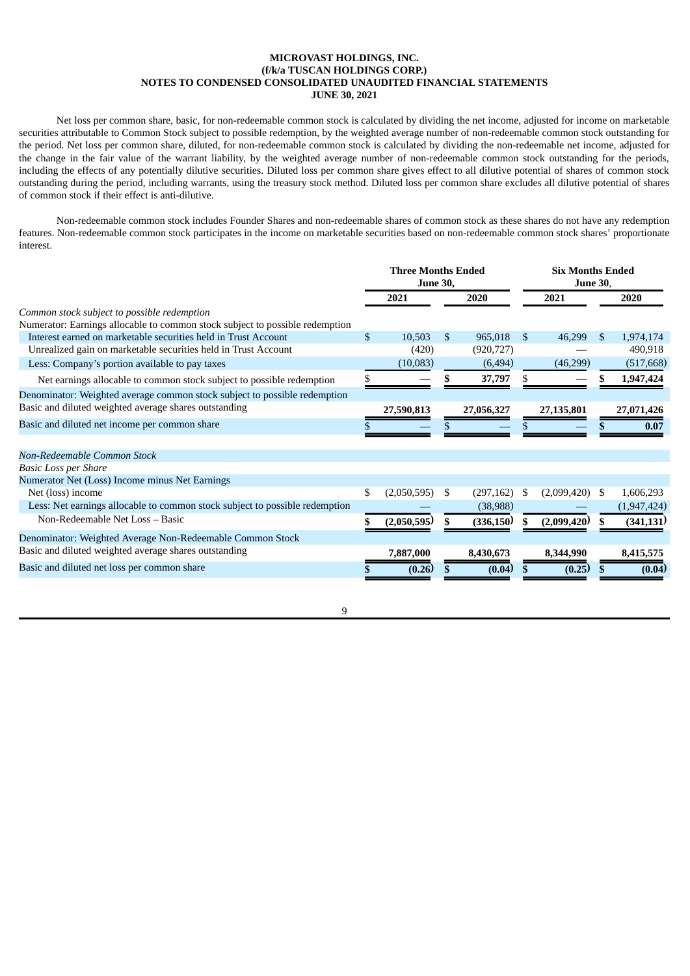Net loss per common share, basic, for non-redeemable common stock is calculated by dividing the net income, adjusted for income on marketable securities attributable to Common Stock subject to possible redemption, by the weighted average number of non-redeemable common stock outstanding for the period. Net loss per common share, diluted, for non-redeemable common stock is calculated by dividing the non-redeemable net income, adjusted for the change in the fair value of the warrant liability, by the weighted average number of non-redeemable common stock outstanding for the periods, including the effects of any potentially dilutive securities. Diluted loss per common share gives effect to all dilutive potential of shares of common stock outstanding during the period, including warrants, using the treasury stock method. Diluted loss per common share excludes all dilutive potential of shares of common stock if their effect is anti-dilutive.

Non-redeemable common stock includes Founder Shares and non-redeemable shares of common stock as these shares do not have any redemption features. Non-redeemable common stock participates in the income on marketable securities based on non-redeemable common stock shares' proportionate interest.

|                                                                              | <b>Three Months Ended</b><br><b>June 30,</b> |             |    | <b>Six Months Ended</b><br><b>June 30.</b> |    |             |     |               |
|------------------------------------------------------------------------------|----------------------------------------------|-------------|----|--------------------------------------------|----|-------------|-----|---------------|
|                                                                              |                                              | 2021        |    | 2020                                       |    | 2021        |     | 2020          |
| Common stock subject to possible redemption                                  |                                              |             |    |                                            |    |             |     |               |
| Numerator: Earnings allocable to common stock subject to possible redemption |                                              |             |    |                                            |    |             |     |               |
| Interest earned on marketable securities held in Trust Account               | \$                                           | 10,503      | \$ | 965,018                                    | -S | 46,299      | \$. | 1,974,174     |
| Unrealized gain on marketable securities held in Trust Account               |                                              | (420)       |    | (920, 727)                                 |    |             |     | 490,918       |
| Less: Company's portion available to pay taxes                               |                                              | (10,083)    |    | (6, 494)                                   |    | (46,299)    |     | (517, 668)    |
| Net earnings allocable to common stock subject to possible redemption        |                                              |             |    | 37,797                                     |    |             |     | 1,947,424     |
| Denominator: Weighted average common stock subject to possible redemption    |                                              |             |    |                                            |    |             |     |               |
| Basic and diluted weighted average shares outstanding                        |                                              | 27,590,813  |    | 27,056,327                                 |    | 27,135,801  |     | 27,071,426    |
| Basic and diluted net income per common share                                |                                              |             |    |                                            |    |             |     | 0.07          |
| Non-Redeemable Common Stock                                                  |                                              |             |    |                                            |    |             |     |               |
| <b>Basic Loss per Share</b>                                                  |                                              |             |    |                                            |    |             |     |               |
| Numerator Net (Loss) Income minus Net Earnings                               |                                              |             |    |                                            |    |             |     |               |
| Net (loss) income                                                            | \$                                           | (2,050,595) | \$ | (297, 162)                                 | -S | (2,099,420) | S.  | 1,606,293     |
| Less: Net earnings allocable to common stock subject to possible redemption  |                                              |             |    | (38,988)                                   |    |             |     | (1, 947, 424) |
| Non-Redeemable Net Loss - Basic                                              |                                              | (2,050,595) |    | (336, 150)                                 |    | (2,099,420) |     | (341, 131)    |
| Denominator: Weighted Average Non-Redeemable Common Stock                    |                                              |             |    |                                            |    |             |     |               |
| Basic and diluted weighted average shares outstanding                        |                                              | 7,887,000   |    | 8,430,673                                  |    | 8,344,990   |     | 8,415,575     |
| Basic and diluted net loss per common share                                  |                                              | (0.26)      |    | (0.04)                                     |    | (0.25)      |     | (0.04)        |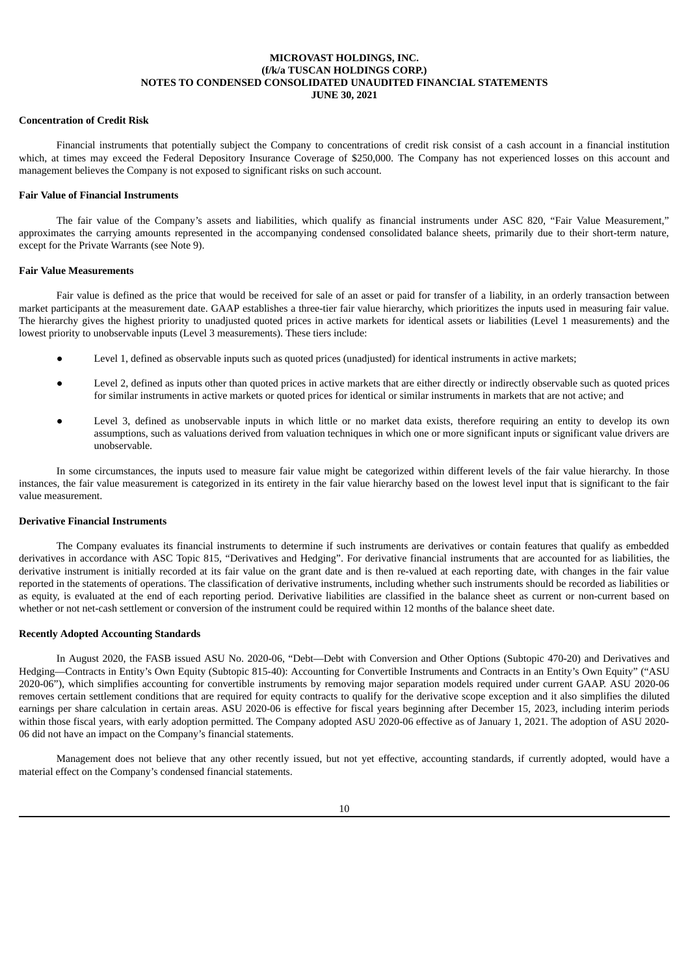# **Concentration of Credit Risk**

Financial instruments that potentially subject the Company to concentrations of credit risk consist of a cash account in a financial institution which, at times may exceed the Federal Depository Insurance Coverage of \$250,000. The Company has not experienced losses on this account and management believes the Company is not exposed to significant risks on such account.

# **Fair Value of Financial Instruments**

The fair value of the Company's assets and liabilities, which qualify as financial instruments under ASC 820, "Fair Value Measurement," approximates the carrying amounts represented in the accompanying condensed consolidated balance sheets, primarily due to their short-term nature, except for the Private Warrants (see Note 9).

#### **Fair Value Measurements**

Fair value is defined as the price that would be received for sale of an asset or paid for transfer of a liability, in an orderly transaction between market participants at the measurement date. GAAP establishes a three-tier fair value hierarchy, which prioritizes the inputs used in measuring fair value. The hierarchy gives the highest priority to unadjusted quoted prices in active markets for identical assets or liabilities (Level 1 measurements) and the lowest priority to unobservable inputs (Level 3 measurements). These tiers include:

- Level 1, defined as observable inputs such as quoted prices (unadjusted) for identical instruments in active markets;
- Level 2, defined as inputs other than quoted prices in active markets that are either directly or indirectly observable such as quoted prices for similar instruments in active markets or quoted prices for identical or similar instruments in markets that are not active; and
- Level 3, defined as unobservable inputs in which little or no market data exists, therefore requiring an entity to develop its own assumptions, such as valuations derived from valuation techniques in which one or more significant inputs or significant value drivers are unobservable.

In some circumstances, the inputs used to measure fair value might be categorized within different levels of the fair value hierarchy. In those instances, the fair value measurement is categorized in its entirety in the fair value hierarchy based on the lowest level input that is significant to the fair value measurement.

#### **Derivative Financial Instruments**

The Company evaluates its financial instruments to determine if such instruments are derivatives or contain features that qualify as embedded derivatives in accordance with ASC Topic 815, "Derivatives and Hedging". For derivative financial instruments that are accounted for as liabilities, the derivative instrument is initially recorded at its fair value on the grant date and is then re-valued at each reporting date, with changes in the fair value reported in the statements of operations. The classification of derivative instruments, including whether such instruments should be recorded as liabilities or as equity, is evaluated at the end of each reporting period. Derivative liabilities are classified in the balance sheet as current or non-current based on whether or not net-cash settlement or conversion of the instrument could be required within 12 months of the balance sheet date.

#### **Recently Adopted Accounting Standards**

In August 2020, the FASB issued ASU No. 2020-06, "Debt—Debt with Conversion and Other Options (Subtopic 470-20) and Derivatives and Hedging—Contracts in Entity's Own Equity (Subtopic 815-40): Accounting for Convertible Instruments and Contracts in an Entity's Own Equity" ("ASU 2020-06"), which simplifies accounting for convertible instruments by removing major separation models required under current GAAP. ASU 2020-06 removes certain settlement conditions that are required for equity contracts to qualify for the derivative scope exception and it also simplifies the diluted earnings per share calculation in certain areas. ASU 2020-06 is effective for fiscal years beginning after December 15, 2023, including interim periods within those fiscal years, with early adoption permitted. The Company adopted ASU 2020-06 effective as of January 1, 2021. The adoption of ASU 2020- 06 did not have an impact on the Company's financial statements.

Management does not believe that any other recently issued, but not yet effective, accounting standards, if currently adopted, would have a material effect on the Company's condensed financial statements.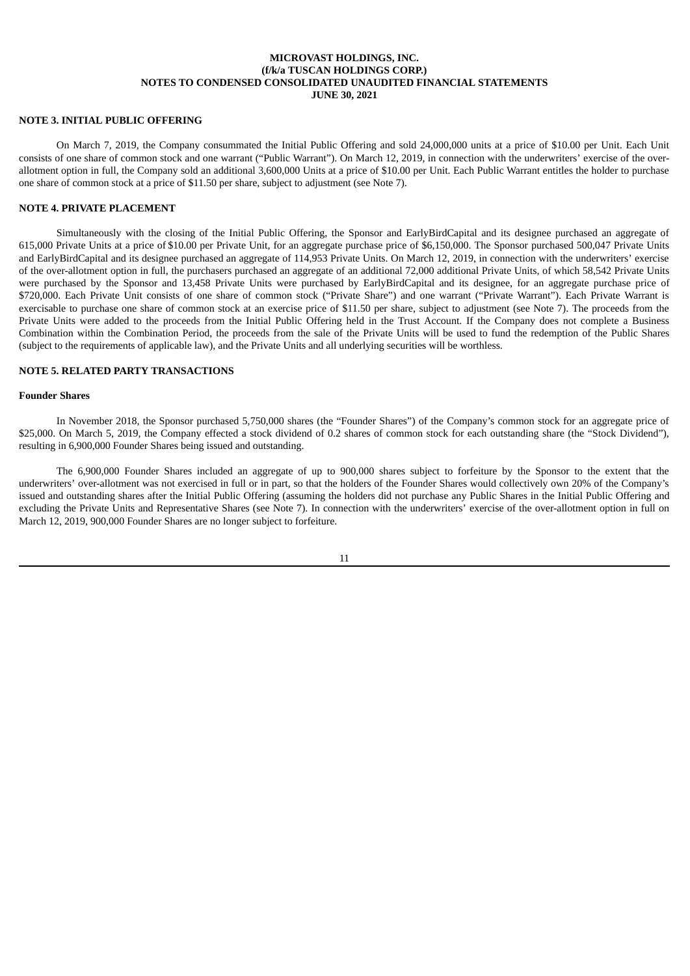# **NOTE 3. INITIAL PUBLIC OFFERING**

On March 7, 2019, the Company consummated the Initial Public Offering and sold 24,000,000 units at a price of \$10.00 per Unit. Each Unit consists of one share of common stock and one warrant ("Public Warrant"). On March 12, 2019, in connection with the underwriters' exercise of the overallotment option in full, the Company sold an additional 3,600,000 Units at a price of \$10.00 per Unit. Each Public Warrant entitles the holder to purchase one share of common stock at a price of \$11.50 per share, subject to adjustment (see Note 7).

#### **NOTE 4. PRIVATE PLACEMENT**

Simultaneously with the closing of the Initial Public Offering, the Sponsor and EarlyBirdCapital and its designee purchased an aggregate of 615,000 Private Units at a price of \$10.00 per Private Unit, for an aggregate purchase price of \$6,150,000. The Sponsor purchased 500,047 Private Units and EarlyBirdCapital and its designee purchased an aggregate of 114,953 Private Units. On March 12, 2019, in connection with the underwriters' exercise of the over-allotment option in full, the purchasers purchased an aggregate of an additional 72,000 additional Private Units, of which 58,542 Private Units were purchased by the Sponsor and 13,458 Private Units were purchased by EarlyBirdCapital and its designee, for an aggregate purchase price of \$720,000. Each Private Unit consists of one share of common stock ("Private Share") and one warrant ("Private Warrant"). Each Private Warrant is exercisable to purchase one share of common stock at an exercise price of \$11.50 per share, subject to adjustment (see Note 7). The proceeds from the Private Units were added to the proceeds from the Initial Public Offering held in the Trust Account. If the Company does not complete a Business Combination within the Combination Period, the proceeds from the sale of the Private Units will be used to fund the redemption of the Public Shares (subject to the requirements of applicable law), and the Private Units and all underlying securities will be worthless.

#### **NOTE 5. RELATED PARTY TRANSACTIONS**

#### **Founder Shares**

In November 2018, the Sponsor purchased 5,750,000 shares (the "Founder Shares") of the Company's common stock for an aggregate price of \$25,000. On March 5, 2019, the Company effected a stock dividend of 0.2 shares of common stock for each outstanding share (the "Stock Dividend"), resulting in 6,900,000 Founder Shares being issued and outstanding.

The 6,900,000 Founder Shares included an aggregate of up to 900,000 shares subject to forfeiture by the Sponsor to the extent that the underwriters' over-allotment was not exercised in full or in part, so that the holders of the Founder Shares would collectively own 20% of the Company's issued and outstanding shares after the Initial Public Offering (assuming the holders did not purchase any Public Shares in the Initial Public Offering and excluding the Private Units and Representative Shares (see Note 7). In connection with the underwriters' exercise of the over-allotment option in full on March 12, 2019, 900,000 Founder Shares are no longer subject to forfeiture.

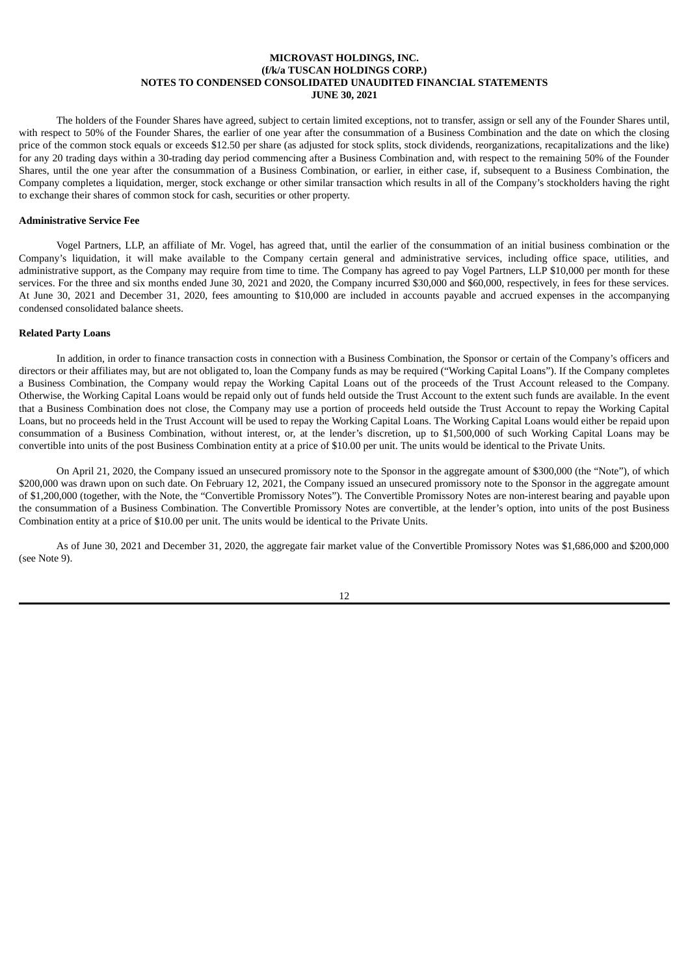The holders of the Founder Shares have agreed, subject to certain limited exceptions, not to transfer, assign or sell any of the Founder Shares until, with respect to 50% of the Founder Shares, the earlier of one year after the consummation of a Business Combination and the date on which the closing price of the common stock equals or exceeds \$12.50 per share (as adjusted for stock splits, stock dividends, reorganizations, recapitalizations and the like) for any 20 trading days within a 30-trading day period commencing after a Business Combination and, with respect to the remaining 50% of the Founder Shares, until the one year after the consummation of a Business Combination, or earlier, in either case, if, subsequent to a Business Combination, the Company completes a liquidation, merger, stock exchange or other similar transaction which results in all of the Company's stockholders having the right to exchange their shares of common stock for cash, securities or other property.

#### **Administrative Service Fee**

Vogel Partners, LLP, an affiliate of Mr. Vogel, has agreed that, until the earlier of the consummation of an initial business combination or the Company's liquidation, it will make available to the Company certain general and administrative services, including office space, utilities, and administrative support, as the Company may require from time to time. The Company has agreed to pay Vogel Partners, LLP \$10,000 per month for these services. For the three and six months ended June 30, 2021 and 2020, the Company incurred \$30,000 and \$60,000, respectively, in fees for these services. At June 30, 2021 and December 31, 2020, fees amounting to \$10,000 are included in accounts payable and accrued expenses in the accompanying condensed consolidated balance sheets.

## **Related Party Loans**

In addition, in order to finance transaction costs in connection with a Business Combination, the Sponsor or certain of the Company's officers and directors or their affiliates may, but are not obligated to, loan the Company funds as may be required ("Working Capital Loans"). If the Company completes a Business Combination, the Company would repay the Working Capital Loans out of the proceeds of the Trust Account released to the Company. Otherwise, the Working Capital Loans would be repaid only out of funds held outside the Trust Account to the extent such funds are available. In the event that a Business Combination does not close, the Company may use a portion of proceeds held outside the Trust Account to repay the Working Capital Loans, but no proceeds held in the Trust Account will be used to repay the Working Capital Loans. The Working Capital Loans would either be repaid upon consummation of a Business Combination, without interest, or, at the lender's discretion, up to \$1,500,000 of such Working Capital Loans may be convertible into units of the post Business Combination entity at a price of \$10.00 per unit. The units would be identical to the Private Units.

On April 21, 2020, the Company issued an unsecured promissory note to the Sponsor in the aggregate amount of \$300,000 (the "Note"), of which \$200,000 was drawn upon on such date. On February 12, 2021, the Company issued an unsecured promissory note to the Sponsor in the aggregate amount of \$1,200,000 (together, with the Note, the "Convertible Promissory Notes"). The Convertible Promissory Notes are non-interest bearing and payable upon the consummation of a Business Combination. The Convertible Promissory Notes are convertible, at the lender's option, into units of the post Business Combination entity at a price of \$10.00 per unit. The units would be identical to the Private Units.

As of June 30, 2021 and December 31, 2020, the aggregate fair market value of the Convertible Promissory Notes was \$1,686,000 and \$200,000 (see Note 9).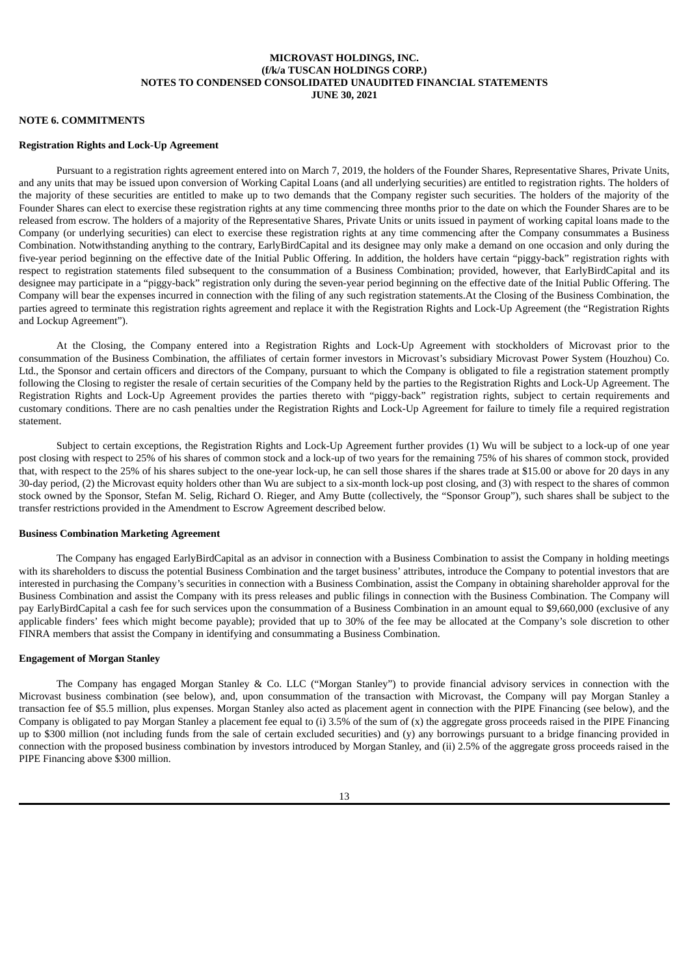# **NOTE 6. COMMITMENTS**

## **Registration Rights and Lock-Up Agreement**

Pursuant to a registration rights agreement entered into on March 7, 2019, the holders of the Founder Shares, Representative Shares, Private Units, and any units that may be issued upon conversion of Working Capital Loans (and all underlying securities) are entitled to registration rights. The holders of the majority of these securities are entitled to make up to two demands that the Company register such securities. The holders of the majority of the Founder Shares can elect to exercise these registration rights at any time commencing three months prior to the date on which the Founder Shares are to be released from escrow. The holders of a majority of the Representative Shares, Private Units or units issued in payment of working capital loans made to the Company (or underlying securities) can elect to exercise these registration rights at any time commencing after the Company consummates a Business Combination. Notwithstanding anything to the contrary, EarlyBirdCapital and its designee may only make a demand on one occasion and only during the five-year period beginning on the effective date of the Initial Public Offering. In addition, the holders have certain "piggy-back" registration rights with respect to registration statements filed subsequent to the consummation of a Business Combination; provided, however, that EarlyBirdCapital and its designee may participate in a "piggy-back" registration only during the seven-year period beginning on the effective date of the Initial Public Offering. The Company will bear the expenses incurred in connection with the filing of any such registration statements.At the Closing of the Business Combination, the parties agreed to terminate this registration rights agreement and replace it with the Registration Rights and Lock-Up Agreement (the "Registration Rights and Lockup Agreement").

At the Closing, the Company entered into a Registration Rights and Lock-Up Agreement with stockholders of Microvast prior to the consummation of the Business Combination, the affiliates of certain former investors in Microvast's subsidiary Microvast Power System (Houzhou) Co. Ltd., the Sponsor and certain officers and directors of the Company, pursuant to which the Company is obligated to file a registration statement promptly following the Closing to register the resale of certain securities of the Company held by the parties to the Registration Rights and Lock-Up Agreement. The Registration Rights and Lock-Up Agreement provides the parties thereto with "piggy-back" registration rights, subject to certain requirements and customary conditions. There are no cash penalties under the Registration Rights and Lock-Up Agreement for failure to timely file a required registration statement.

Subject to certain exceptions, the Registration Rights and Lock-Up Agreement further provides (1) Wu will be subject to a lock-up of one year post closing with respect to 25% of his shares of common stock and a lock-up of two years for the remaining 75% of his shares of common stock, provided that, with respect to the 25% of his shares subject to the one-year lock-up, he can sell those shares if the shares trade at \$15.00 or above for 20 days in any 30-day period, (2) the Microvast equity holders other than Wu are subject to a six-month lock-up post closing, and (3) with respect to the shares of common stock owned by the Sponsor, Stefan M. Selig, Richard O. Rieger, and Amy Butte (collectively, the "Sponsor Group"), such shares shall be subject to the transfer restrictions provided in the Amendment to Escrow Agreement described below.

#### **Business Combination Marketing Agreement**

The Company has engaged EarlyBirdCapital as an advisor in connection with a Business Combination to assist the Company in holding meetings with its shareholders to discuss the potential Business Combination and the target business' attributes, introduce the Company to potential investors that are interested in purchasing the Company's securities in connection with a Business Combination, assist the Company in obtaining shareholder approval for the Business Combination and assist the Company with its press releases and public filings in connection with the Business Combination. The Company will pay EarlyBirdCapital a cash fee for such services upon the consummation of a Business Combination in an amount equal to \$9,660,000 (exclusive of any applicable finders' fees which might become payable); provided that up to 30% of the fee may be allocated at the Company's sole discretion to other FINRA members that assist the Company in identifying and consummating a Business Combination.

#### **Engagement of Morgan Stanley**

The Company has engaged Morgan Stanley & Co. LLC ("Morgan Stanley") to provide financial advisory services in connection with the Microvast business combination (see below), and, upon consummation of the transaction with Microvast, the Company will pay Morgan Stanley a transaction fee of \$5.5 million, plus expenses. Morgan Stanley also acted as placement agent in connection with the PIPE Financing (see below), and the Company is obligated to pay Morgan Stanley a placement fee equal to (i)  $3.5\%$  of the sum of (x) the aggregate gross proceeds raised in the PIPE Financing up to \$300 million (not including funds from the sale of certain excluded securities) and (y) any borrowings pursuant to a bridge financing provided in connection with the proposed business combination by investors introduced by Morgan Stanley, and (ii) 2.5% of the aggregate gross proceeds raised in the PIPE Financing above \$300 million.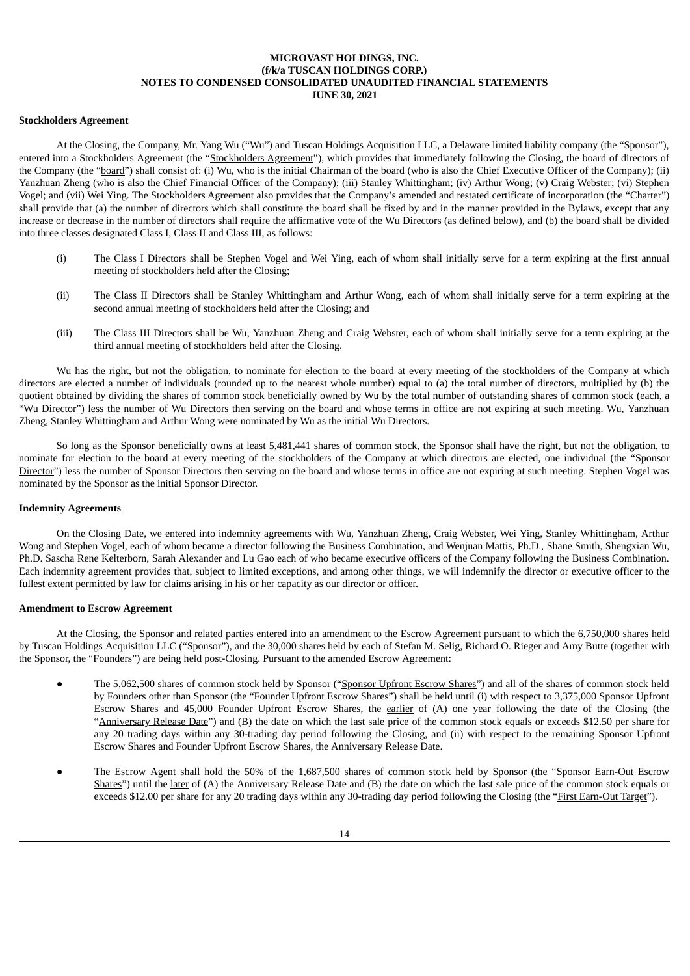## **Stockholders Agreement**

At the Closing, the Company, Mr. Yang Wu ("Wu") and Tuscan Holdings Acquisition LLC, a Delaware limited liability company (the "Sponsor"), entered into a Stockholders Agreement (the "Stockholders Agreement"), which provides that immediately following the Closing, the board of directors of the Company (the "board") shall consist of: (i) Wu, who is the initial Chairman of the board (who is also the Chief Executive Officer of the Company); (ii) Yanzhuan Zheng (who is also the Chief Financial Officer of the Company); (iii) Stanley Whittingham; (iv) Arthur Wong; (v) Craig Webster; (vi) Stephen Vogel; and (vii) Wei Ying. The Stockholders Agreement also provides that the Company's amended and restated certificate of incorporation (the "Charter") shall provide that (a) the number of directors which shall constitute the board shall be fixed by and in the manner provided in the Bylaws, except that any increase or decrease in the number of directors shall require the affirmative vote of the Wu Directors (as defined below), and (b) the board shall be divided into three classes designated Class I, Class II and Class III, as follows:

- (i) The Class I Directors shall be Stephen Vogel and Wei Ying, each of whom shall initially serve for a term expiring at the first annual meeting of stockholders held after the Closing;
- (ii) The Class II Directors shall be Stanley Whittingham and Arthur Wong, each of whom shall initially serve for a term expiring at the second annual meeting of stockholders held after the Closing; and
- (iii) The Class III Directors shall be Wu, Yanzhuan Zheng and Craig Webster, each of whom shall initially serve for a term expiring at the third annual meeting of stockholders held after the Closing.

Wu has the right, but not the obligation, to nominate for election to the board at every meeting of the stockholders of the Company at which directors are elected a number of individuals (rounded up to the nearest whole number) equal to (a) the total number of directors, multiplied by (b) the quotient obtained by dividing the shares of common stock beneficially owned by Wu by the total number of outstanding shares of common stock (each, a "Wu Director") less the number of Wu Directors then serving on the board and whose terms in office are not expiring at such meeting. Wu, Yanzhuan Zheng, Stanley Whittingham and Arthur Wong were nominated by Wu as the initial Wu Directors.

So long as the Sponsor beneficially owns at least 5,481,441 shares of common stock, the Sponsor shall have the right, but not the obligation, to nominate for election to the board at every meeting of the stockholders of the Company at which directors are elected, one individual (the "Sponsor Director") less the number of Sponsor Directors then serving on the board and whose terms in office are not expiring at such meeting. Stephen Vogel was nominated by the Sponsor as the initial Sponsor Director.

# **Indemnity Agreements**

On the Closing Date, we entered into indemnity agreements with Wu, Yanzhuan Zheng, Craig Webster, Wei Ying, Stanley Whittingham, Arthur Wong and Stephen Vogel, each of whom became a director following the Business Combination, and Wenjuan Mattis, Ph.D., Shane Smith, Shengxian Wu, Ph.D. Sascha Rene Kelterborn, Sarah Alexander and Lu Gao each of who became executive officers of the Company following the Business Combination. Each indemnity agreement provides that, subject to limited exceptions, and among other things, we will indemnify the director or executive officer to the fullest extent permitted by law for claims arising in his or her capacity as our director or officer.

## **Amendment to Escrow Agreement**

At the Closing, the Sponsor and related parties entered into an amendment to the Escrow Agreement pursuant to which the 6,750,000 shares held by Tuscan Holdings Acquisition LLC ("Sponsor"), and the 30,000 shares held by each of Stefan M. Selig, Richard O. Rieger and Amy Butte (together with the Sponsor, the "Founders") are being held post-Closing. Pursuant to the amended Escrow Agreement:

- The 5,062,500 shares of common stock held by Sponsor ("Sponsor Upfront Escrow Shares") and all of the shares of common stock held by Founders other than Sponsor (the "Founder Upfront Escrow Shares") shall be held until (i) with respect to 3,375,000 Sponsor Upfront Escrow Shares and 45,000 Founder Upfront Escrow Shares, the earlier of (A) one year following the date of the Closing (the "Anniversary Release Date") and (B) the date on which the last sale price of the common stock equals or exceeds \$12.50 per share for any 20 trading days within any 30-trading day period following the Closing, and (ii) with respect to the remaining Sponsor Upfront Escrow Shares and Founder Upfront Escrow Shares, the Anniversary Release Date.
- The Escrow Agent shall hold the 50% of the 1,687,500 shares of common stock held by Sponsor (the "Sponsor Earn-Out Escrow Shares") until the later of (A) the Anniversary Release Date and (B) the date on which the last sale price of the common stock equals or exceeds \$12.00 per share for any 20 trading days within any 30-trading day period following the Closing (the "First Earn-Out Target").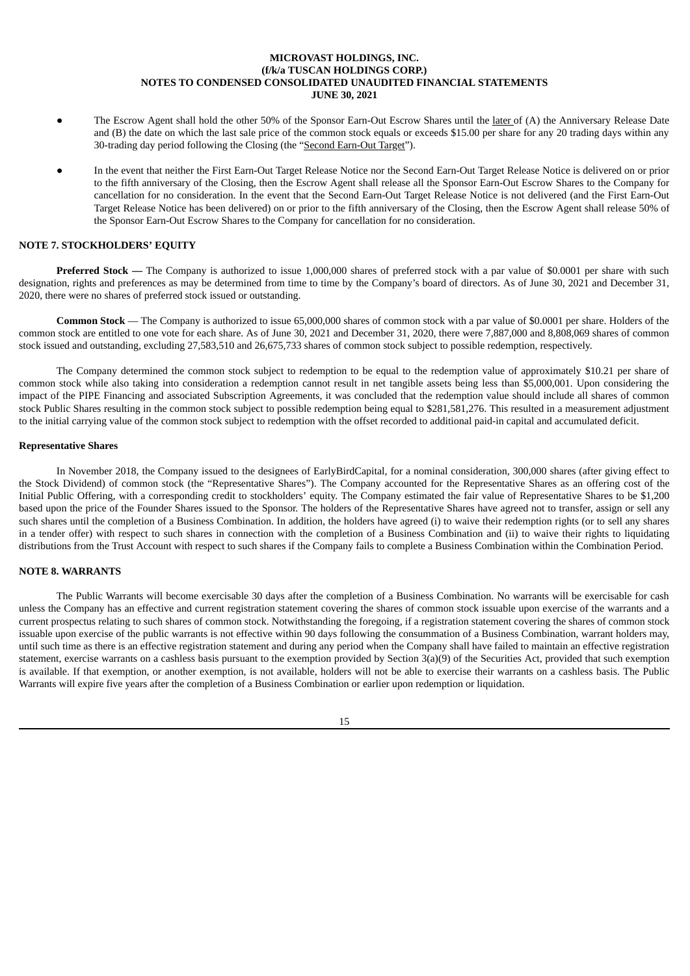- The Escrow Agent shall hold the other 50% of the Sponsor Earn-Out Escrow Shares until the later of (A) the Anniversary Release Date and (B) the date on which the last sale price of the common stock equals or exceeds \$15.00 per share for any 20 trading days within any 30-trading day period following the Closing (the "Second Earn-Out Target").
- In the event that neither the First Earn-Out Target Release Notice nor the Second Earn-Out Target Release Notice is delivered on or prior to the fifth anniversary of the Closing, then the Escrow Agent shall release all the Sponsor Earn-Out Escrow Shares to the Company for cancellation for no consideration. In the event that the Second Earn-Out Target Release Notice is not delivered (and the First Earn-Out Target Release Notice has been delivered) on or prior to the fifth anniversary of the Closing, then the Escrow Agent shall release 50% of the Sponsor Earn-Out Escrow Shares to the Company for cancellation for no consideration.

#### **NOTE 7. STOCKHOLDERS' EQUITY**

**Preferred Stock — The Company is authorized to issue 1,000,000 shares of preferred stock with a par value of \$0,0001 per share with such** designation, rights and preferences as may be determined from time to time by the Company's board of directors. As of June 30, 2021 and December 31, 2020, there were no shares of preferred stock issued or outstanding.

**Common Stock** — The Company is authorized to issue 65,000,000 shares of common stock with a par value of \$0.0001 per share. Holders of the common stock are entitled to one vote for each share. As of June 30, 2021 and December 31, 2020, there were 7,887,000 and 8,808,069 shares of common stock issued and outstanding, excluding 27,583,510 and 26,675,733 shares of common stock subject to possible redemption, respectively.

The Company determined the common stock subject to redemption to be equal to the redemption value of approximately \$10.21 per share of common stock while also taking into consideration a redemption cannot result in net tangible assets being less than \$5,000,001. Upon considering the impact of the PIPE Financing and associated Subscription Agreements, it was concluded that the redemption value should include all shares of common stock Public Shares resulting in the common stock subject to possible redemption being equal to \$281,581,276. This resulted in a measurement adjustment to the initial carrying value of the common stock subject to redemption with the offset recorded to additional paid-in capital and accumulated deficit.

# **Representative Shares**

In November 2018, the Company issued to the designees of EarlyBirdCapital, for a nominal consideration, 300,000 shares (after giving effect to the Stock Dividend) of common stock (the "Representative Shares"). The Company accounted for the Representative Shares as an offering cost of the Initial Public Offering, with a corresponding credit to stockholders' equity. The Company estimated the fair value of Representative Shares to be \$1,200 based upon the price of the Founder Shares issued to the Sponsor. The holders of the Representative Shares have agreed not to transfer, assign or sell any such shares until the completion of a Business Combination. In addition, the holders have agreed (i) to waive their redemption rights (or to sell any shares in a tender offer) with respect to such shares in connection with the completion of a Business Combination and (ii) to waive their rights to liquidating distributions from the Trust Account with respect to such shares if the Company fails to complete a Business Combination within the Combination Period.

# **NOTE 8. WARRANTS**

The Public Warrants will become exercisable 30 days after the completion of a Business Combination. No warrants will be exercisable for cash unless the Company has an effective and current registration statement covering the shares of common stock issuable upon exercise of the warrants and a current prospectus relating to such shares of common stock. Notwithstanding the foregoing, if a registration statement covering the shares of common stock issuable upon exercise of the public warrants is not effective within 90 days following the consummation of a Business Combination, warrant holders may, until such time as there is an effective registration statement and during any period when the Company shall have failed to maintain an effective registration statement, exercise warrants on a cashless basis pursuant to the exemption provided by Section 3(a)(9) of the Securities Act, provided that such exemption is available. If that exemption, or another exemption, is not available, holders will not be able to exercise their warrants on a cashless basis. The Public Warrants will expire five years after the completion of a Business Combination or earlier upon redemption or liquidation.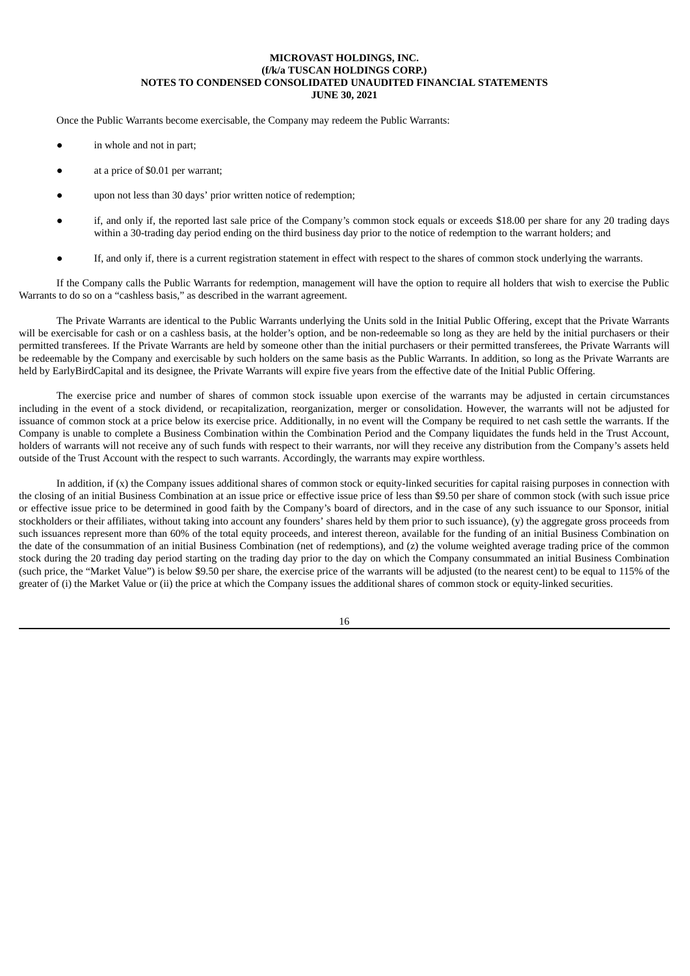Once the Public Warrants become exercisable, the Company may redeem the Public Warrants:

- in whole and not in part;
- at a price of \$0.01 per warrant;
- upon not less than 30 days' prior written notice of redemption;
- if, and only if, the reported last sale price of the Company's common stock equals or exceeds \$18.00 per share for any 20 trading days within a 30-trading day period ending on the third business day prior to the notice of redemption to the warrant holders; and
- If, and only if, there is a current registration statement in effect with respect to the shares of common stock underlying the warrants.

If the Company calls the Public Warrants for redemption, management will have the option to require all holders that wish to exercise the Public Warrants to do so on a "cashless basis," as described in the warrant agreement.

The Private Warrants are identical to the Public Warrants underlying the Units sold in the Initial Public Offering, except that the Private Warrants will be exercisable for cash or on a cashless basis, at the holder's option, and be non-redeemable so long as they are held by the initial purchasers or their permitted transferees. If the Private Warrants are held by someone other than the initial purchasers or their permitted transferees, the Private Warrants will be redeemable by the Company and exercisable by such holders on the same basis as the Public Warrants. In addition, so long as the Private Warrants are held by EarlyBirdCapital and its designee, the Private Warrants will expire five years from the effective date of the Initial Public Offering.

The exercise price and number of shares of common stock issuable upon exercise of the warrants may be adjusted in certain circumstances including in the event of a stock dividend, or recapitalization, reorganization, merger or consolidation. However, the warrants will not be adjusted for issuance of common stock at a price below its exercise price. Additionally, in no event will the Company be required to net cash settle the warrants. If the Company is unable to complete a Business Combination within the Combination Period and the Company liquidates the funds held in the Trust Account, holders of warrants will not receive any of such funds with respect to their warrants, nor will they receive any distribution from the Company's assets held outside of the Trust Account with the respect to such warrants. Accordingly, the warrants may expire worthless.

In addition, if (x) the Company issues additional shares of common stock or equity-linked securities for capital raising purposes in connection with the closing of an initial Business Combination at an issue price or effective issue price of less than \$9.50 per share of common stock (with such issue price or effective issue price to be determined in good faith by the Company's board of directors, and in the case of any such issuance to our Sponsor, initial stockholders or their affiliates, without taking into account any founders' shares held by them prior to such issuance), (y) the aggregate gross proceeds from such issuances represent more than 60% of the total equity proceeds, and interest thereon, available for the funding of an initial Business Combination on the date of the consummation of an initial Business Combination (net of redemptions), and (z) the volume weighted average trading price of the common stock during the 20 trading day period starting on the trading day prior to the day on which the Company consummated an initial Business Combination (such price, the "Market Value") is below \$9.50 per share, the exercise price of the warrants will be adjusted (to the nearest cent) to be equal to 115% of the greater of (i) the Market Value or (ii) the price at which the Company issues the additional shares of common stock or equity-linked securities.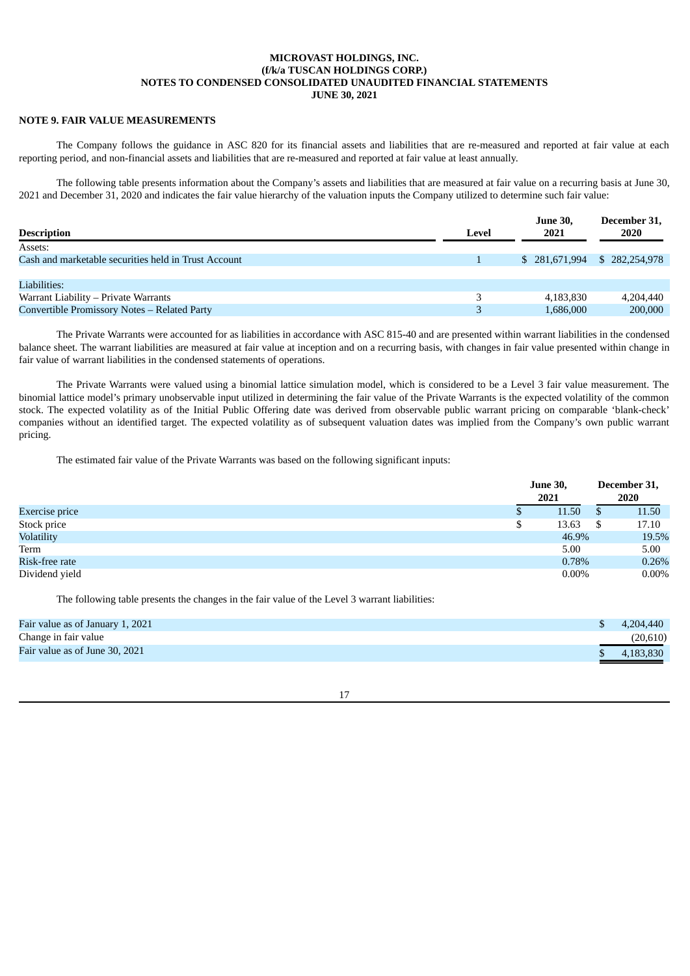# **NOTE 9. FAIR VALUE MEASUREMENTS**

The Company follows the guidance in ASC 820 for its financial assets and liabilities that are re-measured and reported at fair value at each reporting period, and non-financial assets and liabilities that are re-measured and reported at fair value at least annually.

The following table presents information about the Company's assets and liabilities that are measured at fair value on a recurring basis at June 30, 2021 and December 31, 2020 and indicates the fair value hierarchy of the valuation inputs the Company utilized to determine such fair value:

| <b>Description</b>                                   | Level | <b>June 30,</b><br>2021 | December 31,<br>2020          |
|------------------------------------------------------|-------|-------------------------|-------------------------------|
| Assets:                                              |       |                         |                               |
| Cash and marketable securities held in Trust Account |       |                         | $$281,671,994$ $$282,254,978$ |
|                                                      |       |                         |                               |
| Liabilities:                                         |       |                         |                               |
| Warrant Liability – Private Warrants                 |       | 4,183,830               | 4,204,440                     |
| Convertible Promissory Notes - Related Party         |       | 1,686,000               | 200,000                       |

The Private Warrants were accounted for as liabilities in accordance with ASC 815-40 and are presented within warrant liabilities in the condensed balance sheet. The warrant liabilities are measured at fair value at inception and on a recurring basis, with changes in fair value presented within change in fair value of warrant liabilities in the condensed statements of operations.

The Private Warrants were valued using a binomial lattice simulation model, which is considered to be a Level 3 fair value measurement. The binomial lattice model's primary unobservable input utilized in determining the fair value of the Private Warrants is the expected volatility of the common stock. The expected volatility as of the Initial Public Offering date was derived from observable public warrant pricing on comparable 'blank-check' companies without an identified target. The expected volatility as of subsequent valuation dates was implied from the Company's own public warrant pricing.

The estimated fair value of the Private Warrants was based on the following significant inputs:

|                       |    | <b>June 30,</b> |               | December 31, |
|-----------------------|----|-----------------|---------------|--------------|
|                       |    | 2021            |               | 2020         |
| <b>Exercise</b> price | D  | 11.50           | <sup>\$</sup> | 11.50        |
| Stock price           | \$ | 13.63           | -S            | 17.10        |
| <b>Volatility</b>     |    | 46.9%           |               | 19.5%        |
| Term                  |    | 5.00            |               | 5.00         |
| Risk-free rate        |    | 0.78%           |               | 0.26%        |
| Dividend yield        |    | $0.00\%$        |               | 0.00%        |

The following table presents the changes in the fair value of the Level 3 warrant liabilities:

|                                | 4.204.440 |
|--------------------------------|-----------|
| Change in fair value           | (20,610)  |
| Fair value as of June 30, 2021 | 4.183.830 |

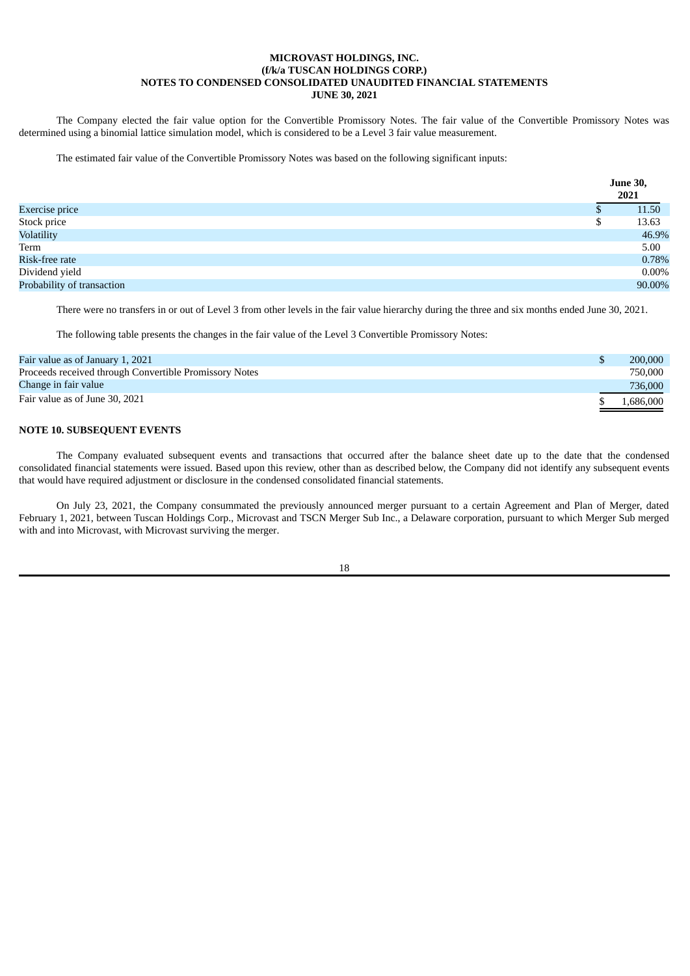The Company elected the fair value option for the Convertible Promissory Notes. The fair value of the Convertible Promissory Notes was determined using a binomial lattice simulation model, which is considered to be a Level 3 fair value measurement.

The estimated fair value of the Convertible Promissory Notes was based on the following significant inputs:

|                            | <b>June 30,</b> |          |  |
|----------------------------|-----------------|----------|--|
|                            |                 | 2021     |  |
| Exercise price             | Φ               | 11.50    |  |
| Stock price                | \$              | 13.63    |  |
| <b>Volatility</b>          |                 | 46.9%    |  |
| Term                       |                 | 5.00     |  |
| Risk-free rate             |                 | 0.78%    |  |
| Dividend yield             |                 | $0.00\%$ |  |
| Probability of transaction |                 | 90.00%   |  |

There were no transfers in or out of Level 3 from other levels in the fair value hierarchy during the three and six months ended June 30, 2021.

The following table presents the changes in the fair value of the Level 3 Convertible Promissory Notes:

| Fair value as of January 1, 2021                       | 200,000   |
|--------------------------------------------------------|-----------|
| Proceeds received through Convertible Promissory Notes | 750.000   |
| Change in fair value                                   | 736,000   |
| Fair value as of June 30, 2021                         | 1.686.000 |

# **NOTE 10. SUBSEQUENT EVENTS**

The Company evaluated subsequent events and transactions that occurred after the balance sheet date up to the date that the condensed consolidated financial statements were issued. Based upon this review, other than as described below, the Company did not identify any subsequent events that would have required adjustment or disclosure in the condensed consolidated financial statements.

On July 23, 2021, the Company consummated the previously announced merger pursuant to a certain Agreement and Plan of Merger, dated February 1, 2021, between Tuscan Holdings Corp., Microvast and TSCN Merger Sub Inc., a Delaware corporation, pursuant to which Merger Sub merged with and into Microvast, with Microvast surviving the merger.

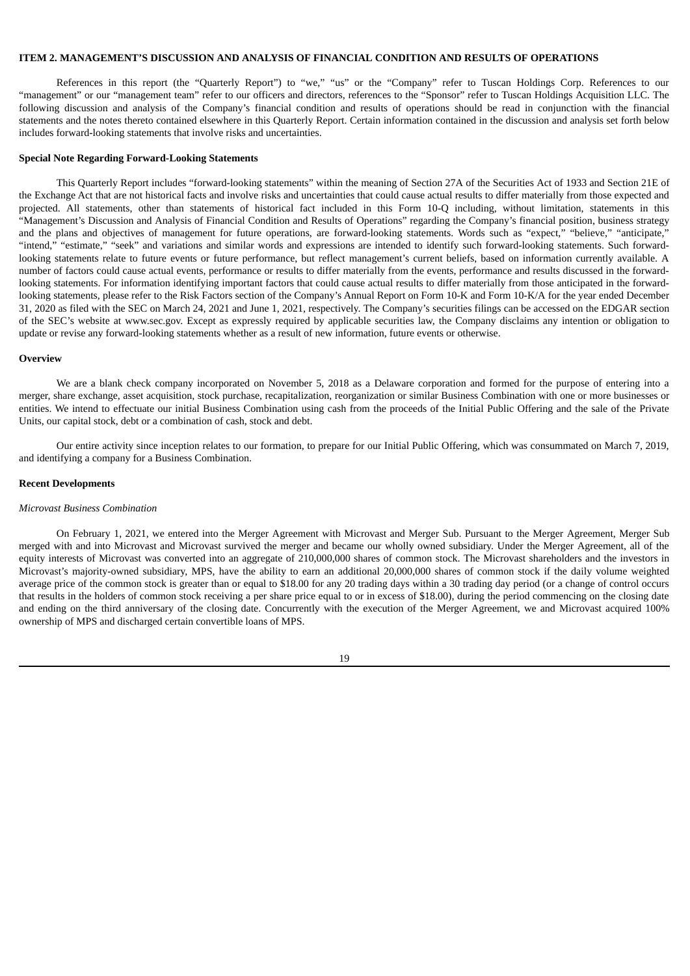#### <span id="page-21-0"></span>**ITEM 2. MANAGEMENT'S DISCUSSION AND ANALYSIS OF FINANCIAL CONDITION AND RESULTS OF OPERATIONS**

References in this report (the "Quarterly Report") to "we," "us" or the "Company" refer to Tuscan Holdings Corp. References to our "management" or our "management team" refer to our officers and directors, references to the "Sponsor" refer to Tuscan Holdings Acquisition LLC. The following discussion and analysis of the Company's financial condition and results of operations should be read in conjunction with the financial statements and the notes thereto contained elsewhere in this Quarterly Report. Certain information contained in the discussion and analysis set forth below includes forward-looking statements that involve risks and uncertainties.

#### **Special Note Regarding Forward-Looking Statements**

This Quarterly Report includes "forward-looking statements" within the meaning of Section 27A of the Securities Act of 1933 and Section 21E of the Exchange Act that are not historical facts and involve risks and uncertainties that could cause actual results to differ materially from those expected and projected. All statements, other than statements of historical fact included in this Form 10-Q including, without limitation, statements in this "Management's Discussion and Analysis of Financial Condition and Results of Operations" regarding the Company's financial position, business strategy and the plans and objectives of management for future operations, are forward-looking statements. Words such as "expect," "believe," "anticipate," "intend," "estimate," "seek" and variations and similar words and expressions are intended to identify such forward-looking statements. Such forwardlooking statements relate to future events or future performance, but reflect management's current beliefs, based on information currently available. A number of factors could cause actual events, performance or results to differ materially from the events, performance and results discussed in the forwardlooking statements. For information identifying important factors that could cause actual results to differ materially from those anticipated in the forwardlooking statements, please refer to the Risk Factors section of the Company's Annual Report on Form 10-K and Form 10-K/A for the year ended December 31, 2020 as filed with the SEC on March 24, 2021 and June 1, 2021, respectively. The Company's securities filings can be accessed on the EDGAR section of the SEC's website at www.sec.gov. Except as expressly required by applicable securities law, the Company disclaims any intention or obligation to update or revise any forward-looking statements whether as a result of new information, future events or otherwise.

#### **Overview**

We are a blank check company incorporated on November 5, 2018 as a Delaware corporation and formed for the purpose of entering into a merger, share exchange, asset acquisition, stock purchase, recapitalization, reorganization or similar Business Combination with one or more businesses or entities. We intend to effectuate our initial Business Combination using cash from the proceeds of the Initial Public Offering and the sale of the Private Units, our capital stock, debt or a combination of cash, stock and debt.

Our entire activity since inception relates to our formation, to prepare for our Initial Public Offering, which was consummated on March 7, 2019, and identifying a company for a Business Combination.

#### **Recent Developments**

#### *Microvast Business Combination*

On February 1, 2021, we entered into the Merger Agreement with Microvast and Merger Sub. Pursuant to the Merger Agreement, Merger Sub merged with and into Microvast and Microvast survived the merger and became our wholly owned subsidiary. Under the Merger Agreement, all of the equity interests of Microvast was converted into an aggregate of 210,000,000 shares of common stock. The Microvast shareholders and the investors in Microvast's majority-owned subsidiary, MPS, have the ability to earn an additional 20,000,000 shares of common stock if the daily volume weighted average price of the common stock is greater than or equal to \$18.00 for any 20 trading days within a 30 trading day period (or a change of control occurs that results in the holders of common stock receiving a per share price equal to or in excess of \$18.00), during the period commencing on the closing date and ending on the third anniversary of the closing date. Concurrently with the execution of the Merger Agreement, we and Microvast acquired 100% ownership of MPS and discharged certain convertible loans of MPS.

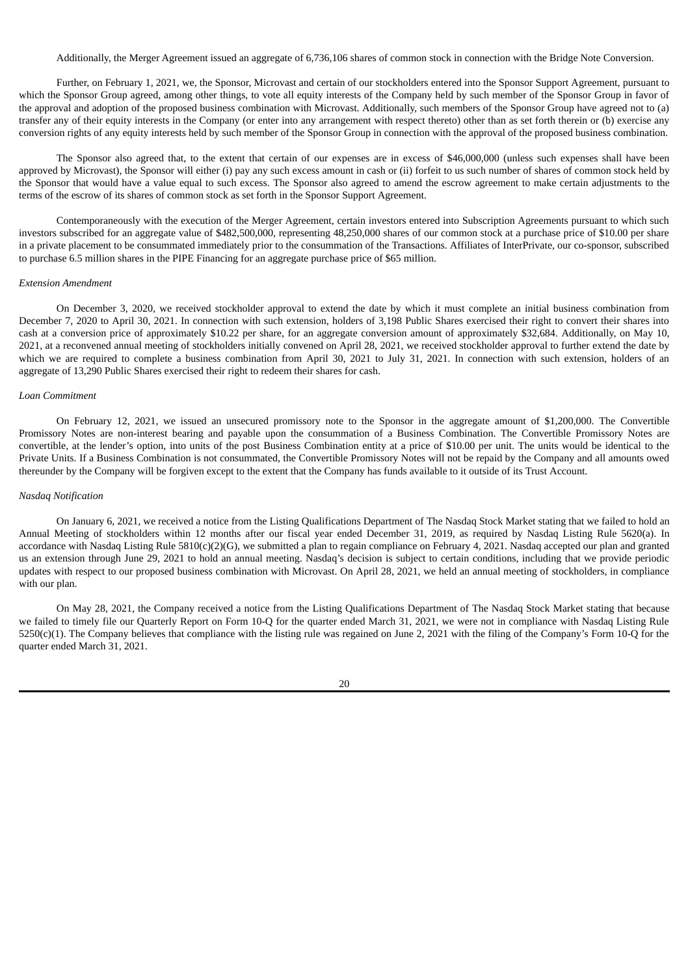Additionally, the Merger Agreement issued an aggregate of 6,736,106 shares of common stock in connection with the Bridge Note Conversion.

Further, on February 1, 2021, we, the Sponsor, Microvast and certain of our stockholders entered into the Sponsor Support Agreement, pursuant to which the Sponsor Group agreed, among other things, to vote all equity interests of the Company held by such member of the Sponsor Group in favor of the approval and adoption of the proposed business combination with Microvast. Additionally, such members of the Sponsor Group have agreed not to (a) transfer any of their equity interests in the Company (or enter into any arrangement with respect thereto) other than as set forth therein or (b) exercise any conversion rights of any equity interests held by such member of the Sponsor Group in connection with the approval of the proposed business combination.

The Sponsor also agreed that, to the extent that certain of our expenses are in excess of \$46,000,000 (unless such expenses shall have been approved by Microvast), the Sponsor will either (i) pay any such excess amount in cash or (ii) forfeit to us such number of shares of common stock held by the Sponsor that would have a value equal to such excess. The Sponsor also agreed to amend the escrow agreement to make certain adjustments to the terms of the escrow of its shares of common stock as set forth in the Sponsor Support Agreement.

Contemporaneously with the execution of the Merger Agreement, certain investors entered into Subscription Agreements pursuant to which such investors subscribed for an aggregate value of \$482,500,000, representing 48,250,000 shares of our common stock at a purchase price of \$10.00 per share in a private placement to be consummated immediately prior to the consummation of the Transactions. Affiliates of InterPrivate, our co-sponsor, subscribed to purchase 6.5 million shares in the PIPE Financing for an aggregate purchase price of \$65 million.

#### *Extension Amendment*

On December 3, 2020, we received stockholder approval to extend the date by which it must complete an initial business combination from December 7, 2020 to April 30, 2021. In connection with such extension, holders of 3,198 Public Shares exercised their right to convert their shares into cash at a conversion price of approximately \$10.22 per share, for an aggregate conversion amount of approximately \$32,684. Additionally, on May 10, 2021, at a reconvened annual meeting of stockholders initially convened on April 28, 2021, we received stockholder approval to further extend the date by which we are required to complete a business combination from April 30, 2021 to July 31, 2021. In connection with such extension, holders of an aggregate of 13,290 Public Shares exercised their right to redeem their shares for cash.

#### *Loan Commitment*

On February 12, 2021, we issued an unsecured promissory note to the Sponsor in the aggregate amount of \$1,200,000. The Convertible Promissory Notes are non-interest bearing and payable upon the consummation of a Business Combination. The Convertible Promissory Notes are convertible, at the lender's option, into units of the post Business Combination entity at a price of \$10.00 per unit. The units would be identical to the Private Units. If a Business Combination is not consummated, the Convertible Promissory Notes will not be repaid by the Company and all amounts owed thereunder by the Company will be forgiven except to the extent that the Company has funds available to it outside of its Trust Account.

#### *Nasdaq Notification*

On January 6, 2021, we received a notice from the Listing Qualifications Department of The Nasdaq Stock Market stating that we failed to hold an Annual Meeting of stockholders within 12 months after our fiscal year ended December 31, 2019, as required by Nasdaq Listing Rule 5620(a). In accordance with Nasdaq Listing Rule  $5810(c)(2)(G)$ , we submitted a plan to regain compliance on February 4, 2021. Nasdaq accepted our plan and granted us an extension through June 29, 2021 to hold an annual meeting. Nasdaq's decision is subject to certain conditions, including that we provide periodic updates with respect to our proposed business combination with Microvast. On April 28, 2021, we held an annual meeting of stockholders, in compliance with our plan.

On May 28, 2021, the Company received a notice from the Listing Qualifications Department of The Nasdaq Stock Market stating that because we failed to timely file our Quarterly Report on Form 10-Q for the quarter ended March 31, 2021, we were not in compliance with Nasdaq Listing Rule 5250(c)(1). The Company believes that compliance with the listing rule was regained on June 2, 2021 with the filing of the Company's Form 10-Q for the quarter ended March 31, 2021.

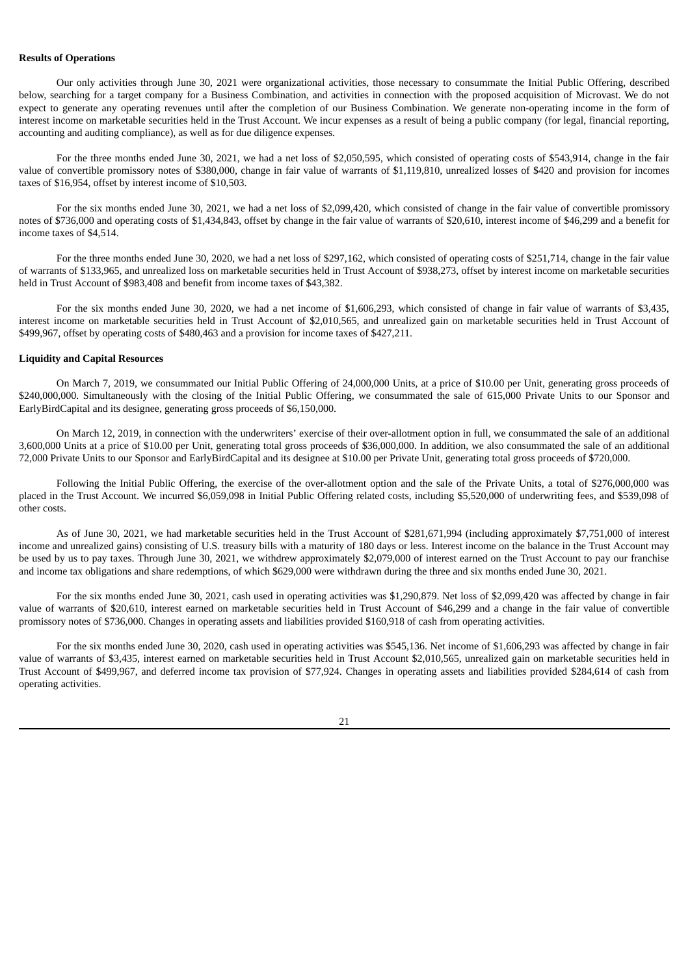### **Results of Operations**

Our only activities through June 30, 2021 were organizational activities, those necessary to consummate the Initial Public Offering, described below, searching for a target company for a Business Combination, and activities in connection with the proposed acquisition of Microvast. We do not expect to generate any operating revenues until after the completion of our Business Combination. We generate non-operating income in the form of interest income on marketable securities held in the Trust Account. We incur expenses as a result of being a public company (for legal, financial reporting, accounting and auditing compliance), as well as for due diligence expenses.

For the three months ended June 30, 2021, we had a net loss of \$2,050,595, which consisted of operating costs of \$543,914, change in the fair value of convertible promissory notes of \$380,000, change in fair value of warrants of \$1,119,810, unrealized losses of \$420 and provision for incomes taxes of \$16,954, offset by interest income of \$10,503.

For the six months ended June 30, 2021, we had a net loss of \$2,099,420, which consisted of change in the fair value of convertible promissory notes of \$736,000 and operating costs of \$1,434,843, offset by change in the fair value of warrants of \$20,610, interest income of \$46,299 and a benefit for income taxes of \$4,514.

For the three months ended June 30, 2020, we had a net loss of \$297,162, which consisted of operating costs of \$251,714, change in the fair value of warrants of \$133,965, and unrealized loss on marketable securities held in Trust Account of \$938,273, offset by interest income on marketable securities held in Trust Account of \$983,408 and benefit from income taxes of \$43,382.

For the six months ended June 30, 2020, we had a net income of \$1,606,293, which consisted of change in fair value of warrants of \$3,435, interest income on marketable securities held in Trust Account of \$2,010,565, and unrealized gain on marketable securities held in Trust Account of \$499,967, offset by operating costs of \$480,463 and a provision for income taxes of \$427,211.

#### **Liquidity and Capital Resources**

On March 7, 2019, we consummated our Initial Public Offering of 24,000,000 Units, at a price of \$10.00 per Unit, generating gross proceeds of \$240,000,000. Simultaneously with the closing of the Initial Public Offering, we consummated the sale of 615,000 Private Units to our Sponsor and EarlyBirdCapital and its designee, generating gross proceeds of \$6,150,000.

On March 12, 2019, in connection with the underwriters' exercise of their over-allotment option in full, we consummated the sale of an additional 3,600,000 Units at a price of \$10.00 per Unit, generating total gross proceeds of \$36,000,000. In addition, we also consummated the sale of an additional 72,000 Private Units to our Sponsor and EarlyBirdCapital and its designee at \$10.00 per Private Unit, generating total gross proceeds of \$720,000.

Following the Initial Public Offering, the exercise of the over-allotment option and the sale of the Private Units, a total of \$276,000,000 was placed in the Trust Account. We incurred \$6,059,098 in Initial Public Offering related costs, including \$5,520,000 of underwriting fees, and \$539,098 of other costs.

As of June 30, 2021, we had marketable securities held in the Trust Account of \$281,671,994 (including approximately \$7,751,000 of interest income and unrealized gains) consisting of U.S. treasury bills with a maturity of 180 days or less. Interest income on the balance in the Trust Account may be used by us to pay taxes. Through June 30, 2021, we withdrew approximately \$2,079,000 of interest earned on the Trust Account to pay our franchise and income tax obligations and share redemptions, of which \$629,000 were withdrawn during the three and six months ended June 30, 2021.

For the six months ended June 30, 2021, cash used in operating activities was \$1,290,879. Net loss of \$2,099,420 was affected by change in fair value of warrants of \$20,610, interest earned on marketable securities held in Trust Account of \$46,299 and a change in the fair value of convertible promissory notes of \$736,000. Changes in operating assets and liabilities provided \$160,918 of cash from operating activities.

For the six months ended June 30, 2020, cash used in operating activities was \$545,136. Net income of \$1,606,293 was affected by change in fair value of warrants of \$3,435, interest earned on marketable securities held in Trust Account \$2,010,565, unrealized gain on marketable securities held in Trust Account of \$499,967, and deferred income tax provision of \$77,924. Changes in operating assets and liabilities provided \$284,614 of cash from operating activities.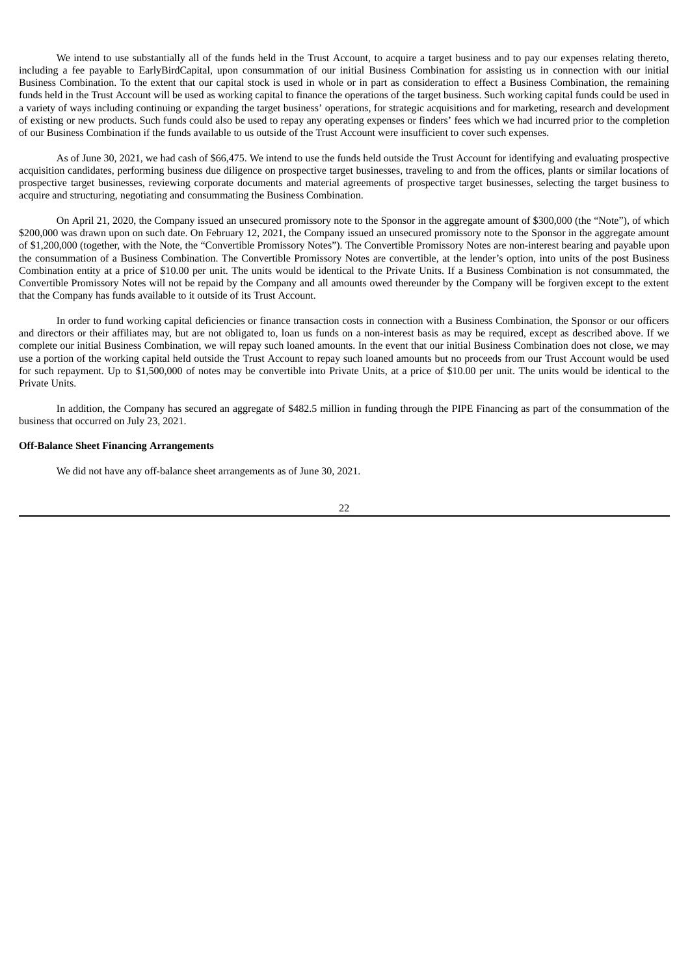We intend to use substantially all of the funds held in the Trust Account, to acquire a target business and to pay our expenses relating thereto, including a fee payable to EarlyBirdCapital, upon consummation of our initial Business Combination for assisting us in connection with our initial Business Combination. To the extent that our capital stock is used in whole or in part as consideration to effect a Business Combination, the remaining funds held in the Trust Account will be used as working capital to finance the operations of the target business. Such working capital funds could be used in a variety of ways including continuing or expanding the target business' operations, for strategic acquisitions and for marketing, research and development of existing or new products. Such funds could also be used to repay any operating expenses or finders' fees which we had incurred prior to the completion of our Business Combination if the funds available to us outside of the Trust Account were insufficient to cover such expenses.

As of June 30, 2021, we had cash of \$66,475. We intend to use the funds held outside the Trust Account for identifying and evaluating prospective acquisition candidates, performing business due diligence on prospective target businesses, traveling to and from the offices, plants or similar locations of prospective target businesses, reviewing corporate documents and material agreements of prospective target businesses, selecting the target business to acquire and structuring, negotiating and consummating the Business Combination.

On April 21, 2020, the Company issued an unsecured promissory note to the Sponsor in the aggregate amount of \$300,000 (the "Note"), of which \$200,000 was drawn upon on such date. On February 12, 2021, the Company issued an unsecured promissory note to the Sponsor in the aggregate amount of \$1,200,000 (together, with the Note, the "Convertible Promissory Notes"). The Convertible Promissory Notes are non-interest bearing and payable upon the consummation of a Business Combination. The Convertible Promissory Notes are convertible, at the lender's option, into units of the post Business Combination entity at a price of \$10.00 per unit. The units would be identical to the Private Units. If a Business Combination is not consummated, the Convertible Promissory Notes will not be repaid by the Company and all amounts owed thereunder by the Company will be forgiven except to the extent that the Company has funds available to it outside of its Trust Account.

In order to fund working capital deficiencies or finance transaction costs in connection with a Business Combination, the Sponsor or our officers and directors or their affiliates may, but are not obligated to, loan us funds on a non-interest basis as may be required, except as described above. If we complete our initial Business Combination, we will repay such loaned amounts. In the event that our initial Business Combination does not close, we may use a portion of the working capital held outside the Trust Account to repay such loaned amounts but no proceeds from our Trust Account would be used for such repayment. Up to \$1,500,000 of notes may be convertible into Private Units, at a price of \$10.00 per unit. The units would be identical to the Private Units.

In addition, the Company has secured an aggregate of \$482.5 million in funding through the PIPE Financing as part of the consummation of the business that occurred on July 23, 2021.

#### **Off-Balance Sheet Financing Arrangements**

We did not have any off-balance sheet arrangements as of June 30, 2021.

22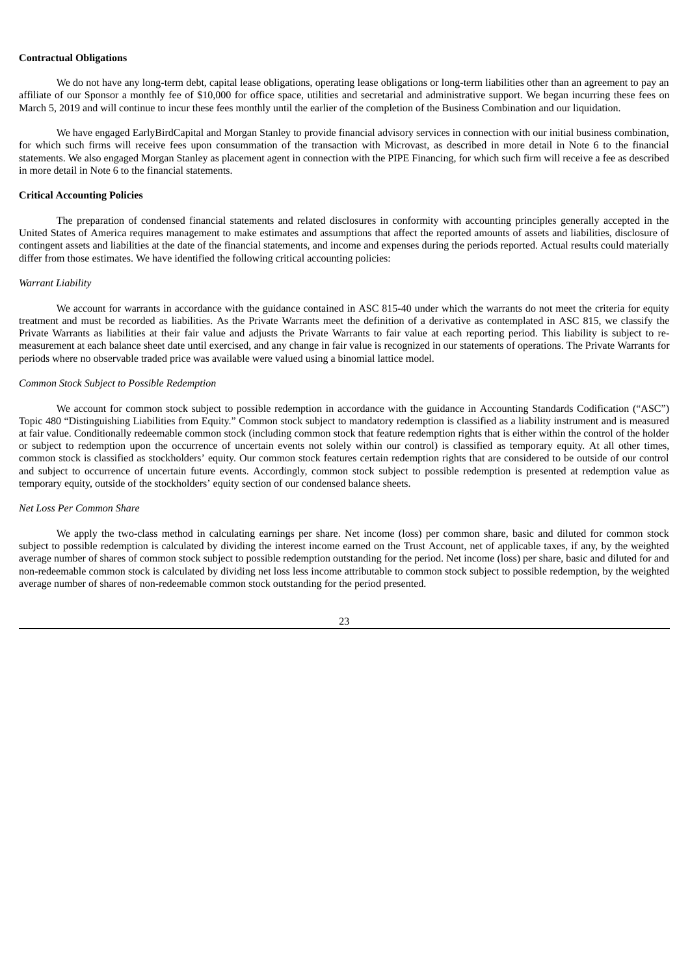## **Contractual Obligations**

We do not have any long-term debt, capital lease obligations, operating lease obligations or long-term liabilities other than an agreement to pay an affiliate of our Sponsor a monthly fee of \$10,000 for office space, utilities and secretarial and administrative support. We began incurring these fees on March 5, 2019 and will continue to incur these fees monthly until the earlier of the completion of the Business Combination and our liquidation.

We have engaged EarlyBirdCapital and Morgan Stanley to provide financial advisory services in connection with our initial business combination, for which such firms will receive fees upon consummation of the transaction with Microvast, as described in more detail in Note 6 to the financial statements. We also engaged Morgan Stanley as placement agent in connection with the PIPE Financing, for which such firm will receive a fee as described in more detail in Note 6 to the financial statements.

## **Critical Accounting Policies**

The preparation of condensed financial statements and related disclosures in conformity with accounting principles generally accepted in the United States of America requires management to make estimates and assumptions that affect the reported amounts of assets and liabilities, disclosure of contingent assets and liabilities at the date of the financial statements, and income and expenses during the periods reported. Actual results could materially differ from those estimates. We have identified the following critical accounting policies:

#### *Warrant Liability*

We account for warrants in accordance with the guidance contained in ASC 815-40 under which the warrants do not meet the criteria for equity treatment and must be recorded as liabilities. As the Private Warrants meet the definition of a derivative as contemplated in ASC 815, we classify the Private Warrants as liabilities at their fair value and adjusts the Private Warrants to fair value at each reporting period. This liability is subject to remeasurement at each balance sheet date until exercised, and any change in fair value is recognized in our statements of operations. The Private Warrants for periods where no observable traded price was available were valued using a binomial lattice model.

#### *Common Stock Subject to Possible Redemption*

We account for common stock subject to possible redemption in accordance with the guidance in Accounting Standards Codification ("ASC") Topic 480 "Distinguishing Liabilities from Equity." Common stock subject to mandatory redemption is classified as a liability instrument and is measured at fair value. Conditionally redeemable common stock (including common stock that feature redemption rights that is either within the control of the holder or subject to redemption upon the occurrence of uncertain events not solely within our control) is classified as temporary equity. At all other times, common stock is classified as stockholders' equity. Our common stock features certain redemption rights that are considered to be outside of our control and subject to occurrence of uncertain future events. Accordingly, common stock subject to possible redemption is presented at redemption value as temporary equity, outside of the stockholders' equity section of our condensed balance sheets.

#### *Net Loss Per Common Share*

We apply the two-class method in calculating earnings per share. Net income (loss) per common share, basic and diluted for common stock subject to possible redemption is calculated by dividing the interest income earned on the Trust Account, net of applicable taxes, if any, by the weighted average number of shares of common stock subject to possible redemption outstanding for the period. Net income (loss) per share, basic and diluted for and non-redeemable common stock is calculated by dividing net loss less income attributable to common stock subject to possible redemption, by the weighted average number of shares of non-redeemable common stock outstanding for the period presented.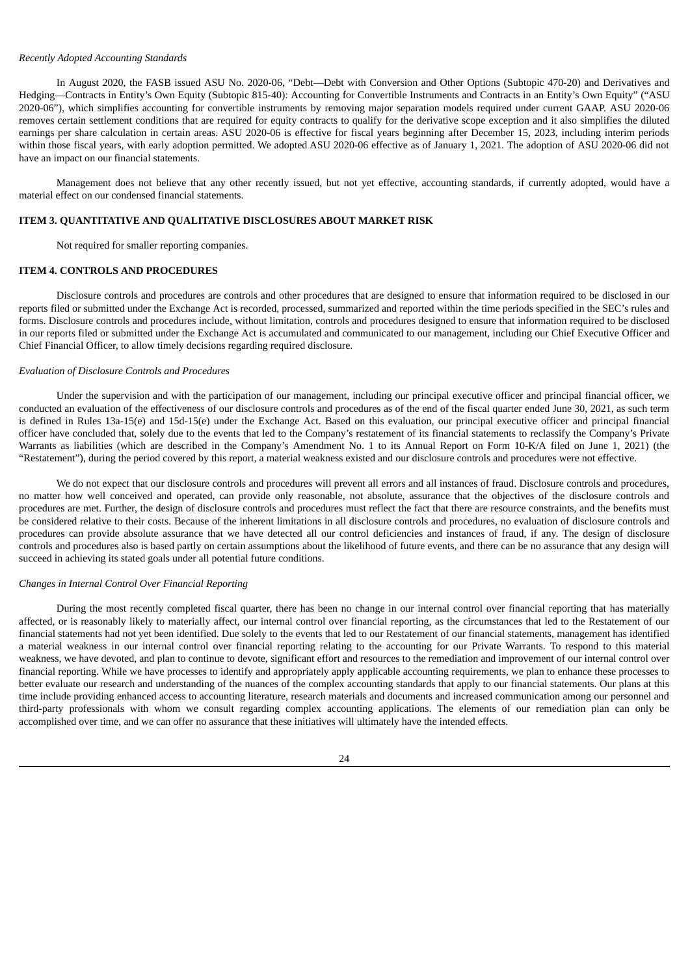## *Recently Adopted Accounting Standards*

In August 2020, the FASB issued ASU No. 2020-06, "Debt—Debt with Conversion and Other Options (Subtopic 470-20) and Derivatives and Hedging—Contracts in Entity's Own Equity (Subtopic 815-40): Accounting for Convertible Instruments and Contracts in an Entity's Own Equity" ("ASU 2020-06"), which simplifies accounting for convertible instruments by removing major separation models required under current GAAP. ASU 2020-06 removes certain settlement conditions that are required for equity contracts to qualify for the derivative scope exception and it also simplifies the diluted earnings per share calculation in certain areas. ASU 2020-06 is effective for fiscal years beginning after December 15, 2023, including interim periods within those fiscal years, with early adoption permitted. We adopted ASU 2020-06 effective as of January 1, 2021. The adoption of ASU 2020-06 did not have an impact on our financial statements.

Management does not believe that any other recently issued, but not yet effective, accounting standards, if currently adopted, would have a material effect on our condensed financial statements.

# <span id="page-26-0"></span>**ITEM 3. QUANTITATIVE AND QUALITATIVE DISCLOSURES ABOUT MARKET RISK**

Not required for smaller reporting companies.

#### <span id="page-26-1"></span>**ITEM 4. CONTROLS AND PROCEDURES**

Disclosure controls and procedures are controls and other procedures that are designed to ensure that information required to be disclosed in our reports filed or submitted under the Exchange Act is recorded, processed, summarized and reported within the time periods specified in the SEC's rules and forms. Disclosure controls and procedures include, without limitation, controls and procedures designed to ensure that information required to be disclosed in our reports filed or submitted under the Exchange Act is accumulated and communicated to our management, including our Chief Executive Officer and Chief Financial Officer, to allow timely decisions regarding required disclosure.

#### *Evaluation of Disclosure Controls and Procedures*

Under the supervision and with the participation of our management, including our principal executive officer and principal financial officer, we conducted an evaluation of the effectiveness of our disclosure controls and procedures as of the end of the fiscal quarter ended June 30, 2021, as such term is defined in Rules 13a-15(e) and 15d-15(e) under the Exchange Act. Based on this evaluation, our principal executive officer and principal financial officer have concluded that, solely due to the events that led to the Company's restatement of its financial statements to reclassify the Company's Private Warrants as liabilities (which are described in the Company's Amendment No. 1 to its Annual Report on Form 10-K/A filed on June 1, 2021) (the "Restatement"), during the period covered by this report, a material weakness existed and our disclosure controls and procedures were not effective.

We do not expect that our disclosure controls and procedures will prevent all errors and all instances of fraud. Disclosure controls and procedures, no matter how well conceived and operated, can provide only reasonable, not absolute, assurance that the objectives of the disclosure controls and procedures are met. Further, the design of disclosure controls and procedures must reflect the fact that there are resource constraints, and the benefits must be considered relative to their costs. Because of the inherent limitations in all disclosure controls and procedures, no evaluation of disclosure controls and procedures can provide absolute assurance that we have detected all our control deficiencies and instances of fraud, if any. The design of disclosure controls and procedures also is based partly on certain assumptions about the likelihood of future events, and there can be no assurance that any design will succeed in achieving its stated goals under all potential future conditions.

# *Changes in Internal Control Over Financial Reporting*

During the most recently completed fiscal quarter, there has been no change in our internal control over financial reporting that has materially affected, or is reasonably likely to materially affect, our internal control over financial reporting, as the circumstances that led to the Restatement of our financial statements had not yet been identified. Due solely to the events that led to our Restatement of our financial statements, management has identified a material weakness in our internal control over financial reporting relating to the accounting for our Private Warrants. To respond to this material weakness, we have devoted, and plan to continue to devote, significant effort and resources to the remediation and improvement of our internal control over financial reporting. While we have processes to identify and appropriately apply applicable accounting requirements, we plan to enhance these processes to better evaluate our research and understanding of the nuances of the complex accounting standards that apply to our financial statements. Our plans at this time include providing enhanced access to accounting literature, research materials and documents and increased communication among our personnel and third-party professionals with whom we consult regarding complex accounting applications. The elements of our remediation plan can only be accomplished over time, and we can offer no assurance that these initiatives will ultimately have the intended effects.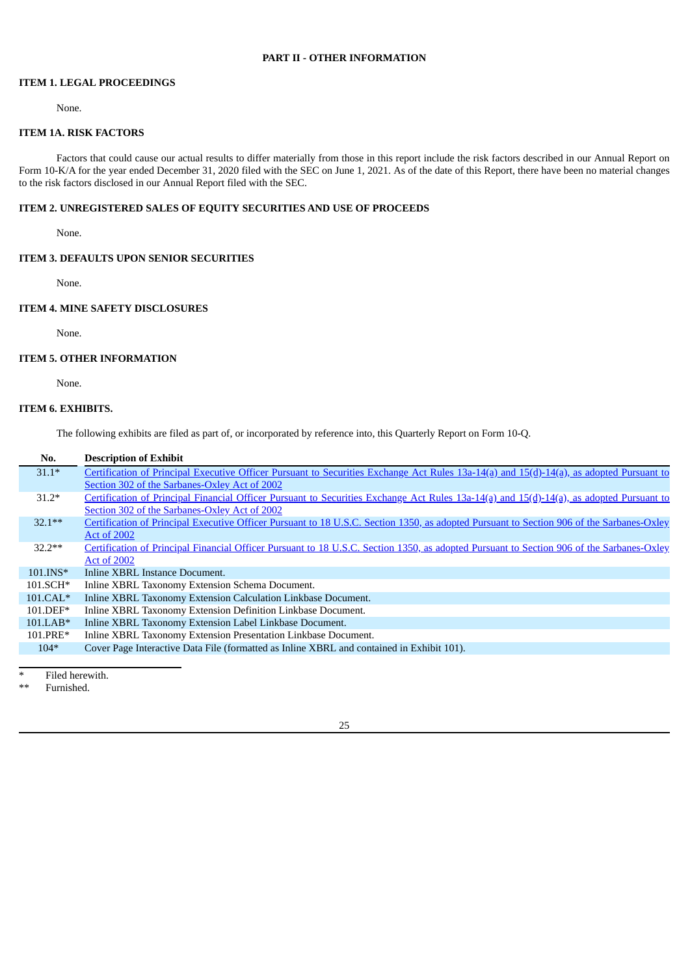# **PART II - OTHER INFORMATION**

# <span id="page-27-0"></span>**ITEM 1. LEGAL PROCEEDINGS**

None.

## <span id="page-27-1"></span>**ITEM 1A. RISK FACTORS**

Factors that could cause our actual results to differ materially from those in this report include the risk factors described in our Annual Report on Form 10-K/A for the year ended December 31, 2020 filed with the SEC on June 1, 2021. As of the date of this Report, there have been no material changes to the risk factors disclosed in our Annual Report filed with the SEC.

## <span id="page-27-2"></span>**ITEM 2. UNREGISTERED SALES OF EQUITY SECURITIES AND USE OF PROCEEDS**

None.

## **ITEM 3. DEFAULTS UPON SENIOR SECURITIES**

None.

### **ITEM 4. MINE SAFETY DISCLOSURES**

None.

#### **ITEM 5. OTHER INFORMATION**

None.

# <span id="page-27-3"></span>**ITEM 6. EXHIBITS.**

The following exhibits are filed as part of, or incorporated by reference into, this Quarterly Report on Form 10-Q.

| No.         | <b>Description of Exhibit</b>                                                                                                             |
|-------------|-------------------------------------------------------------------------------------------------------------------------------------------|
| $31.1*$     | Certification of Principal Executive Officer Pursuant to Securities Exchange Act Rules 13a-14(a) and 15(d)-14(a), as adopted Pursuant to  |
|             | Section 302 of the Sarbanes-Oxley Act of 2002                                                                                             |
| $31.2*$     | Certification of Principal Financial Officer Pursuant to Securities Exchange Act Rules 13a-14(a) and 15(d)-14(a), as adopted Pursuant to  |
|             | Section 302 of the Sarbanes-Oxley Act of 2002                                                                                             |
| $32.1**$    | Certification of Principal Executive Officer Pursuant to 18 U.S.C. Section 1350, as adopted Pursuant to Section 906 of the Sarbanes-Oxley |
|             | <b>Act of 2002</b>                                                                                                                        |
| $32.2**$    | Certification of Principal Financial Officer Pursuant to 18 U.S.C. Section 1350, as adopted Pursuant to Section 906 of the Sarbanes-Oxley |
|             | <b>Act of 2002</b>                                                                                                                        |
| $101.INS*$  | Inline XBRL Instance Document.                                                                                                            |
| $101.SCH*$  | Inline XBRL Taxonomy Extension Schema Document.                                                                                           |
| $101.CAL*$  | Inline XBRL Taxonomy Extension Calculation Linkbase Document.                                                                             |
| $101.$ DEF* | Inline XBRL Taxonomy Extension Definition Linkbase Document.                                                                              |
| $101.LAB*$  | Inline XBRL Taxonomy Extension Label Linkbase Document.                                                                                   |
| 101.PRE*    | Inline XBRL Taxonomy Extension Presentation Linkbase Document.                                                                            |
| $104*$      | Cover Page Interactive Data File (formatted as Inline XBRL and contained in Exhibit 101).                                                 |

Filed herewith.

Furnished.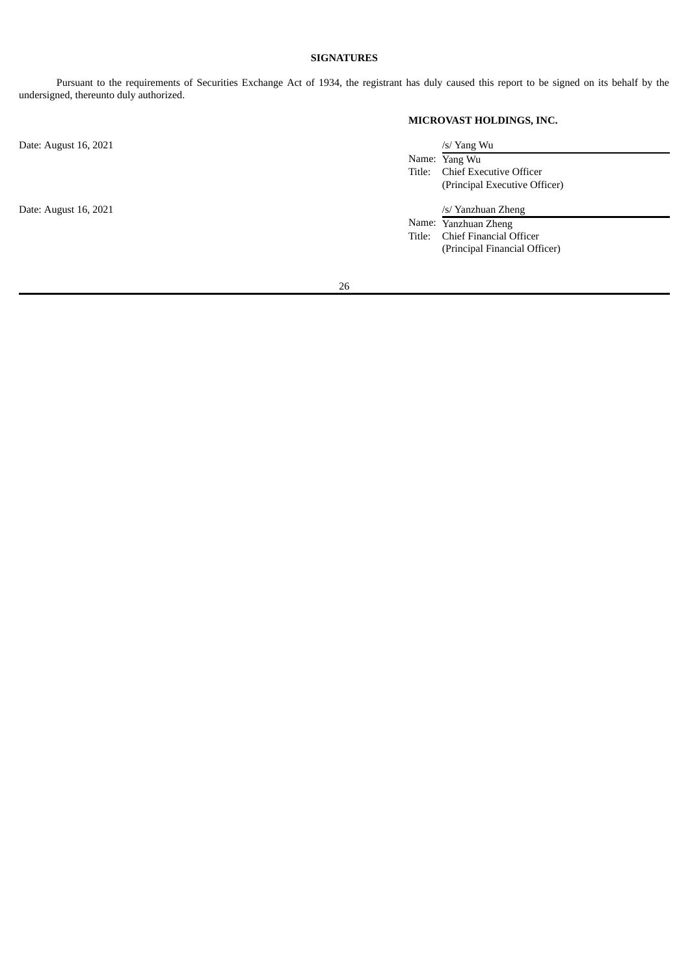# **SIGNATURES**

<span id="page-28-0"></span>Pursuant to the requirements of Securities Exchange Act of 1934, the registrant has duly caused this report to be signed on its behalf by the undersigned, thereunto duly authorized.

# **MICROVAST HOLDINGS, INC.**

| Date: August 16, 2021 |        | /s/ Yang Wu                   |
|-----------------------|--------|-------------------------------|
|                       |        | Name: Yang Wu                 |
|                       | Title: | Chief Executive Officer       |
|                       |        | (Principal Executive Officer) |
| Date: August 16, 2021 |        | /s/ Yanzhuan Zheng            |
|                       |        | Name: Yanzhuan Zheng          |
|                       | Title: | Chief Financial Officer       |
|                       |        | (Principal Financial Officer) |
|                       |        |                               |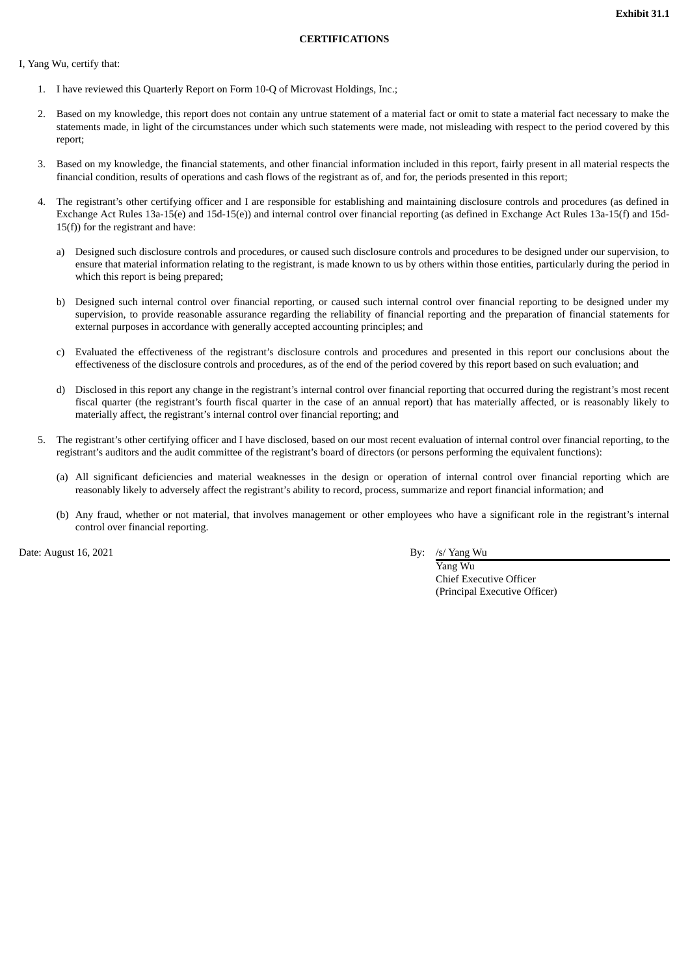# **CERTIFICATIONS**

<span id="page-29-0"></span>I, Yang Wu, certify that:

- 1. I have reviewed this Quarterly Report on Form 10-Q of Microvast Holdings, Inc.;
- 2. Based on my knowledge, this report does not contain any untrue statement of a material fact or omit to state a material fact necessary to make the statements made, in light of the circumstances under which such statements were made, not misleading with respect to the period covered by this report;
- 3. Based on my knowledge, the financial statements, and other financial information included in this report, fairly present in all material respects the financial condition, results of operations and cash flows of the registrant as of, and for, the periods presented in this report;
- 4. The registrant's other certifying officer and I are responsible for establishing and maintaining disclosure controls and procedures (as defined in Exchange Act Rules 13a-15(e) and 15d-15(e)) and internal control over financial reporting (as defined in Exchange Act Rules 13a-15(f) and 15d-15(f)) for the registrant and have:
	- a) Designed such disclosure controls and procedures, or caused such disclosure controls and procedures to be designed under our supervision, to ensure that material information relating to the registrant, is made known to us by others within those entities, particularly during the period in which this report is being prepared;
	- b) Designed such internal control over financial reporting, or caused such internal control over financial reporting to be designed under my supervision, to provide reasonable assurance regarding the reliability of financial reporting and the preparation of financial statements for external purposes in accordance with generally accepted accounting principles; and
	- c) Evaluated the effectiveness of the registrant's disclosure controls and procedures and presented in this report our conclusions about the effectiveness of the disclosure controls and procedures, as of the end of the period covered by this report based on such evaluation; and
	- d) Disclosed in this report any change in the registrant's internal control over financial reporting that occurred during the registrant's most recent fiscal quarter (the registrant's fourth fiscal quarter in the case of an annual report) that has materially affected, or is reasonably likely to materially affect, the registrant's internal control over financial reporting; and
- 5. The registrant's other certifying officer and I have disclosed, based on our most recent evaluation of internal control over financial reporting, to the registrant's auditors and the audit committee of the registrant's board of directors (or persons performing the equivalent functions):
	- (a) All significant deficiencies and material weaknesses in the design or operation of internal control over financial reporting which are reasonably likely to adversely affect the registrant's ability to record, process, summarize and report financial information; and
	- (b) Any fraud, whether or not material, that involves management or other employees who have a significant role in the registrant's internal control over financial reporting.

Date: August 16, 2021 By: /s/ Yang Wu

Yang Wu Chief Executive Officer (Principal Executive Officer)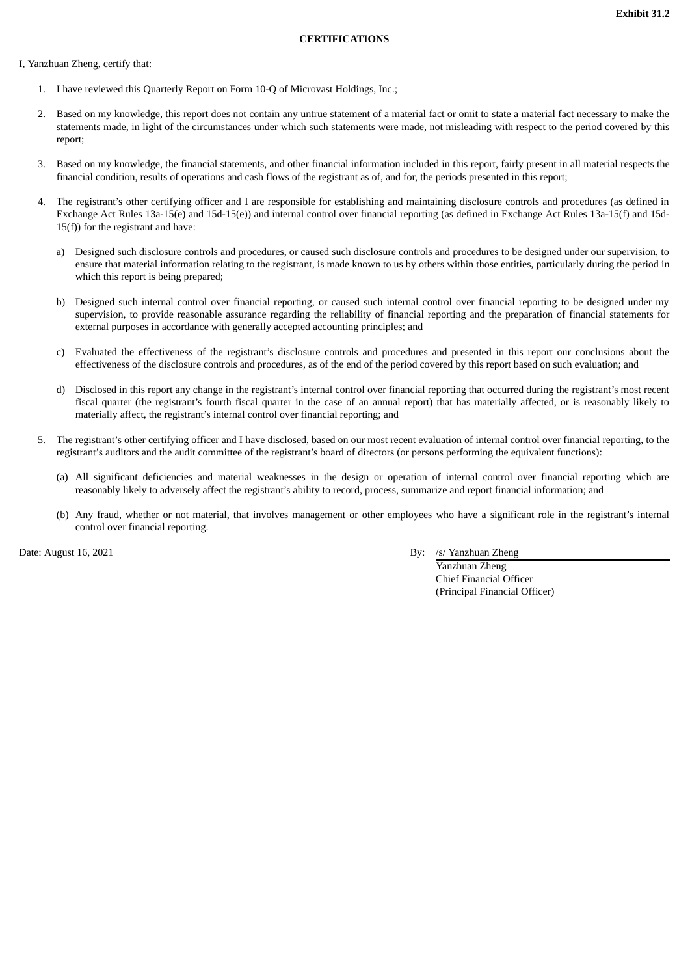# **CERTIFICATIONS**

<span id="page-30-0"></span>I, Yanzhuan Zheng, certify that:

- 1. I have reviewed this Quarterly Report on Form 10-Q of Microvast Holdings, Inc.;
- 2. Based on my knowledge, this report does not contain any untrue statement of a material fact or omit to state a material fact necessary to make the statements made, in light of the circumstances under which such statements were made, not misleading with respect to the period covered by this report;
- 3. Based on my knowledge, the financial statements, and other financial information included in this report, fairly present in all material respects the financial condition, results of operations and cash flows of the registrant as of, and for, the periods presented in this report;
- 4. The registrant's other certifying officer and I are responsible for establishing and maintaining disclosure controls and procedures (as defined in Exchange Act Rules 13a-15(e) and 15d-15(e)) and internal control over financial reporting (as defined in Exchange Act Rules 13a-15(f) and 15d-15(f)) for the registrant and have:
	- a) Designed such disclosure controls and procedures, or caused such disclosure controls and procedures to be designed under our supervision, to ensure that material information relating to the registrant, is made known to us by others within those entities, particularly during the period in which this report is being prepared;
	- b) Designed such internal control over financial reporting, or caused such internal control over financial reporting to be designed under my supervision, to provide reasonable assurance regarding the reliability of financial reporting and the preparation of financial statements for external purposes in accordance with generally accepted accounting principles; and
	- c) Evaluated the effectiveness of the registrant's disclosure controls and procedures and presented in this report our conclusions about the effectiveness of the disclosure controls and procedures, as of the end of the period covered by this report based on such evaluation; and
	- d) Disclosed in this report any change in the registrant's internal control over financial reporting that occurred during the registrant's most recent fiscal quarter (the registrant's fourth fiscal quarter in the case of an annual report) that has materially affected, or is reasonably likely to materially affect, the registrant's internal control over financial reporting; and
- 5. The registrant's other certifying officer and I have disclosed, based on our most recent evaluation of internal control over financial reporting, to the registrant's auditors and the audit committee of the registrant's board of directors (or persons performing the equivalent functions):
	- (a) All significant deficiencies and material weaknesses in the design or operation of internal control over financial reporting which are reasonably likely to adversely affect the registrant's ability to record, process, summarize and report financial information; and
	- (b) Any fraud, whether or not material, that involves management or other employees who have a significant role in the registrant's internal control over financial reporting.

Date: August 16, 2021 By: /s/ Yanzhuan Zheng

Yanzhuan Zheng Chief Financial Officer (Principal Financial Officer)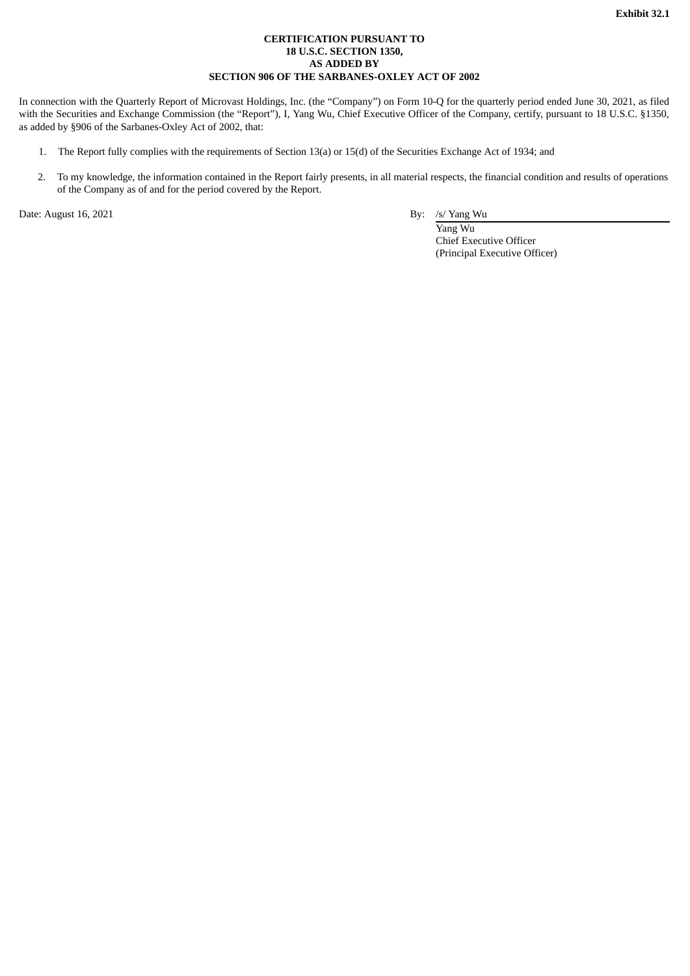# **CERTIFICATION PURSUANT TO 18 U.S.C. SECTION 1350, AS ADDED BY SECTION 906 OF THE SARBANES-OXLEY ACT OF 2002**

<span id="page-31-0"></span>In connection with the Quarterly Report of Microvast Holdings, Inc. (the "Company") on Form 10-Q for the quarterly period ended June 30, 2021, as filed with the Securities and Exchange Commission (the "Report"), I, Yang Wu, Chief Executive Officer of the Company, certify, pursuant to 18 U.S.C. §1350, as added by §906 of the Sarbanes-Oxley Act of 2002, that:

- 1. The Report fully complies with the requirements of Section 13(a) or 15(d) of the Securities Exchange Act of 1934; and
- 2. To my knowledge, the information contained in the Report fairly presents, in all material respects, the financial condition and results of operations of the Company as of and for the period covered by the Report.

Date: August 16, 2021 By: /s/ Yang Wu

Yang Wu Chief Executive Officer (Principal Executive Officer)